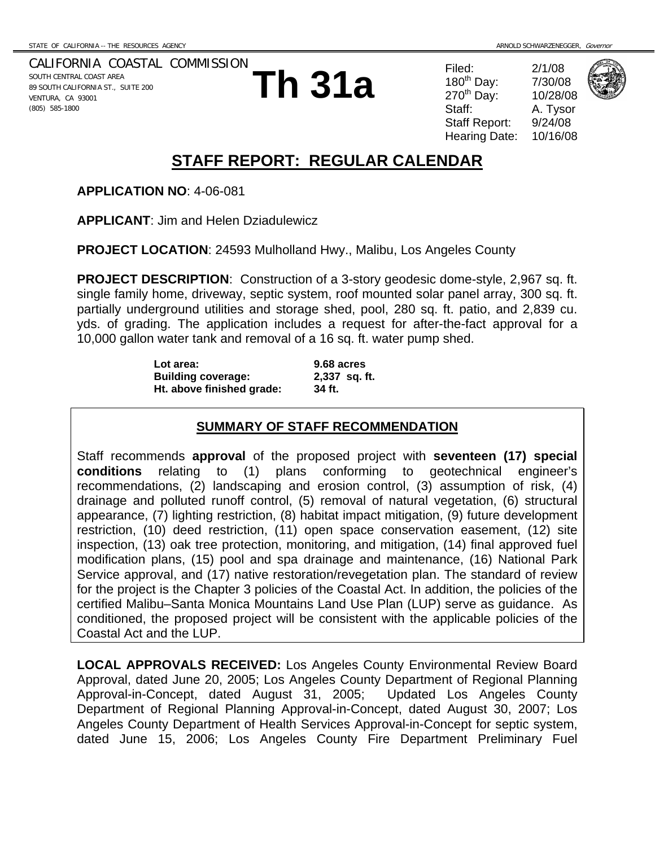VENTURA, CA 93001 (805) 585-1800

CALIFORNIA COASTAL COMMISSION SOUTH CENTRAL COAST AREA 89 SOUTH CALIFORNIA ST., SUITE 200

**APPLICATION NO**: 4-06-081

**APPLICANT**: Jim and Helen Dziadulewicz

**STAFF REPORT: REGULAR CALENDAR**

**Th 31a** Filed:  $\frac{2/1/08}{270^{\text{th}}}$  Day:  $\frac{7/30/08}{10/28/08}$ <br>Staff: A. Tysor 180 $th$  Day:  $270^{th}$  Day: Staff Report: 9/24/08 Hearing Date: 10/16/08



A. Tysor



**PROJECT DESCRIPTION**: Construction of a 3-story geodesic dome-style, 2,967 sq. ft.

single family home, driveway, septic system, roof mounted solar panel array, 300 sq. ft. partially underground utilities and storage shed, pool, 280 sq. ft. patio, and 2,839 cu. yds. of grading. The application includes a request for after-the-fact approval for a 10,000 gallon water tank and removal of a 16 sq. ft. water pump shed.

**PROJECT LOCATION**: 24593 Mulholland Hwy., Malibu, Los Angeles County

**Lot area: 9.68 acres Building coverage: 2,337 sq. ft. Ht. above finished grade: 34 ft.** 

#### **SUMMARY OF STAFF RECOMMENDATION**

Staff recommends **approval** of the proposed project with **seventeen (17) special conditions** relating to (1) plans conforming to geotechnical engineer's recommendations, (2) landscaping and erosion control, (3) assumption of risk, (4) drainage and polluted runoff control, (5) removal of natural vegetation, (6) structural appearance, (7) lighting restriction, (8) habitat impact mitigation, (9) future development restriction, (10) deed restriction, (11) open space conservation easement, (12) site inspection, (13) oak tree protection, monitoring, and mitigation, (14) final approved fuel modification plans, (15) pool and spa drainage and maintenance, (16) National Park Service approval, and (17) native restoration/revegetation plan. The standard of review for the project is the Chapter 3 policies of the Coastal Act. In addition, the policies of the certified Malibu–Santa Monica Mountains Land Use Plan (LUP) serve as guidance. As conditioned, the proposed project will be consistent with the applicable policies of the Coastal Act and the LUP.

**LOCAL APPROVALS RECEIVED:** Los Angeles County Environmental Review Board Approval, dated June 20, 2005; Los Angeles County Department of Regional Planning Approval-in-Concept, dated August 31, 2005; Updated Los Angeles County Department of Regional Planning Approval-in-Concept, dated August 30, 2007; Los Angeles County Department of Health Services Approval-in-Concept for septic system, dated June 15, 2006; Los Angeles County Fire Department Preliminary Fuel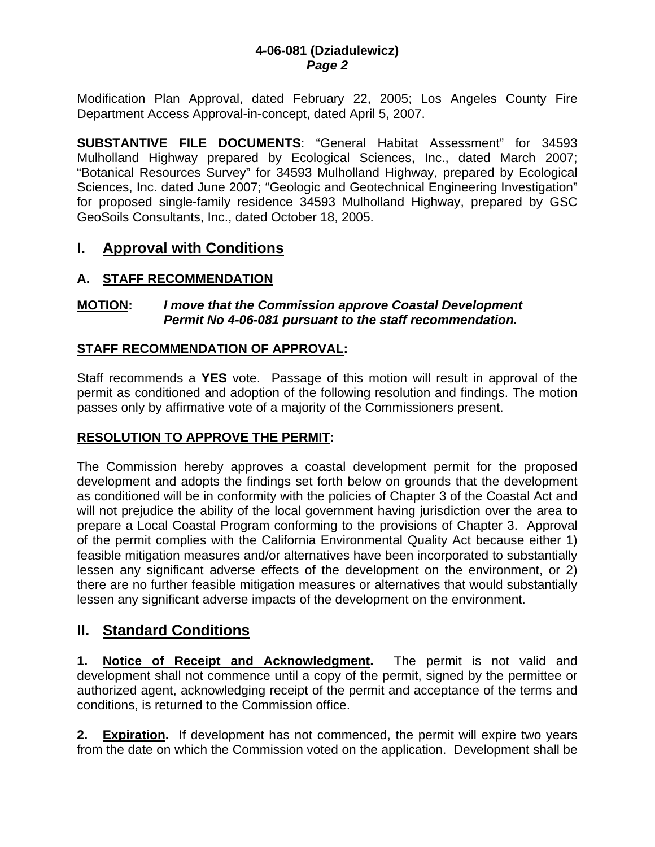Modification Plan Approval, dated February 22, 2005; Los Angeles County Fire Department Access Approval-in-concept, dated April 5, 2007.

**SUBSTANTIVE FILE DOCUMENTS**: "General Habitat Assessment" for 34593 Mulholland Highway prepared by Ecological Sciences, Inc., dated March 2007; "Botanical Resources Survey" for 34593 Mulholland Highway, prepared by Ecological Sciences, Inc. dated June 2007; "Geologic and Geotechnical Engineering Investigation" for proposed single-family residence 34593 Mulholland Highway, prepared by GSC GeoSoils Consultants, Inc., dated October 18, 2005.

# **I. Approval with Conditions**

# **A. STAFF RECOMMENDATION**

# **MOTION:** *I move that the Commission approve Coastal Development Permit No 4-06-081 pursuant to the staff recommendation.*

# **STAFF RECOMMENDATION OF APPROVAL:**

Staff recommends a **YES** vote. Passage of this motion will result in approval of the permit as conditioned and adoption of the following resolution and findings. The motion passes only by affirmative vote of a majority of the Commissioners present.

# **RESOLUTION TO APPROVE THE PERMIT:**

The Commission hereby approves a coastal development permit for the proposed development and adopts the findings set forth below on grounds that the development as conditioned will be in conformity with the policies of Chapter 3 of the Coastal Act and will not prejudice the ability of the local government having jurisdiction over the area to prepare a Local Coastal Program conforming to the provisions of Chapter 3. Approval of the permit complies with the California Environmental Quality Act because either 1) feasible mitigation measures and/or alternatives have been incorporated to substantially lessen any significant adverse effects of the development on the environment, or 2) there are no further feasible mitigation measures or alternatives that would substantially lessen any significant adverse impacts of the development on the environment.

# **II. Standard Conditions**

**1. Notice of Receipt and Acknowledgment.** The permit is not valid and development shall not commence until a copy of the permit, signed by the permittee or authorized agent, acknowledging receipt of the permit and acceptance of the terms and conditions, is returned to the Commission office.

**2. Expiration.** If development has not commenced, the permit will expire two years from the date on which the Commission voted on the application. Development shall be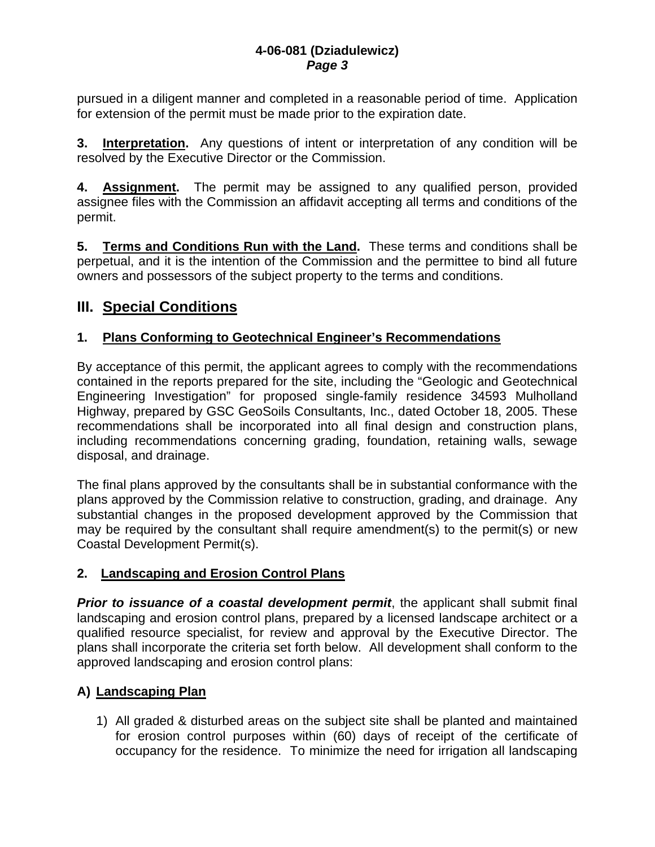pursued in a diligent manner and completed in a reasonable period of time. Application for extension of the permit must be made prior to the expiration date.

**3. Interpretation.** Any questions of intent or interpretation of any condition will be resolved by the Executive Director or the Commission.

**4. Assignment.** The permit may be assigned to any qualified person, provided assignee files with the Commission an affidavit accepting all terms and conditions of the permit.

**5. Terms and Conditions Run with the Land.** These terms and conditions shall be perpetual, and it is the intention of the Commission and the permittee to bind all future owners and possessors of the subject property to the terms and conditions.

# **III. Special Conditions**

# **1. Plans Conforming to Geotechnical Engineer's Recommendations**

By acceptance of this permit, the applicant agrees to comply with the recommendations contained in the reports prepared for the site, including the "Geologic and Geotechnical Engineering Investigation" for proposed single-family residence 34593 Mulholland Highway, prepared by GSC GeoSoils Consultants, Inc., dated October 18, 2005. These recommendations shall be incorporated into all final design and construction plans, including recommendations concerning grading, foundation, retaining walls, sewage disposal, and drainage.

The final plans approved by the consultants shall be in substantial conformance with the plans approved by the Commission relative to construction, grading, and drainage. Any substantial changes in the proposed development approved by the Commission that may be required by the consultant shall require amendment(s) to the permit(s) or new Coastal Development Permit(s).

# **2. Landscaping and Erosion Control Plans**

**Prior to issuance of a coastal development permit**, the applicant shall submit final landscaping and erosion control plans, prepared by a licensed landscape architect or a qualified resource specialist, for review and approval by the Executive Director. The plans shall incorporate the criteria set forth below. All development shall conform to the approved landscaping and erosion control plans:

# **A) Landscaping Plan**

1) All graded & disturbed areas on the subject site shall be planted and maintained for erosion control purposes within (60) days of receipt of the certificate of occupancy for the residence. To minimize the need for irrigation all landscaping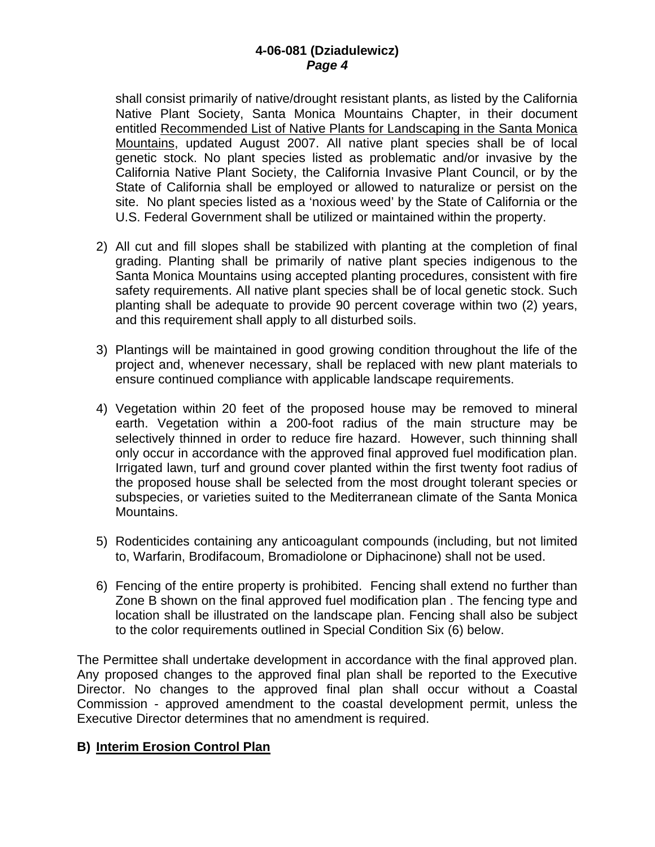shall consist primarily of native/drought resistant plants, as listed by the California Native Plant Society, Santa Monica Mountains Chapter, in their document entitled Recommended List of Native Plants for Landscaping in the Santa Monica Mountains, updated August 2007. All native plant species shall be of local genetic stock. No plant species listed as problematic and/or invasive by the California Native Plant Society, the California Invasive Plant Council, or by the State of California shall be employed or allowed to naturalize or persist on the site. No plant species listed as a 'noxious weed' by the State of California or the U.S. Federal Government shall be utilized or maintained within the property.

- 2) All cut and fill slopes shall be stabilized with planting at the completion of final grading. Planting shall be primarily of native plant species indigenous to the Santa Monica Mountains using accepted planting procedures, consistent with fire safety requirements. All native plant species shall be of local genetic stock. Such planting shall be adequate to provide 90 percent coverage within two (2) years, and this requirement shall apply to all disturbed soils.
- 3) Plantings will be maintained in good growing condition throughout the life of the project and, whenever necessary, shall be replaced with new plant materials to ensure continued compliance with applicable landscape requirements.
- 4) Vegetation within 20 feet of the proposed house may be removed to mineral earth. Vegetation within a 200-foot radius of the main structure may be selectively thinned in order to reduce fire hazard. However, such thinning shall only occur in accordance with the approved final approved fuel modification plan. Irrigated lawn, turf and ground cover planted within the first twenty foot radius of the proposed house shall be selected from the most drought tolerant species or subspecies, or varieties suited to the Mediterranean climate of the Santa Monica Mountains.
- 5) Rodenticides containing any anticoagulant compounds (including, but not limited to, Warfarin, Brodifacoum, Bromadiolone or Diphacinone) shall not be used.
- 6) Fencing of the entire property is prohibited. Fencing shall extend no further than Zone B shown on the final approved fuel modification plan . The fencing type and location shall be illustrated on the landscape plan. Fencing shall also be subject to the color requirements outlined in Special Condition Six (6) below.

The Permittee shall undertake development in accordance with the final approved plan. Any proposed changes to the approved final plan shall be reported to the Executive Director. No changes to the approved final plan shall occur without a Coastal Commission - approved amendment to the coastal development permit, unless the Executive Director determines that no amendment is required.

# **B) Interim Erosion Control Plan**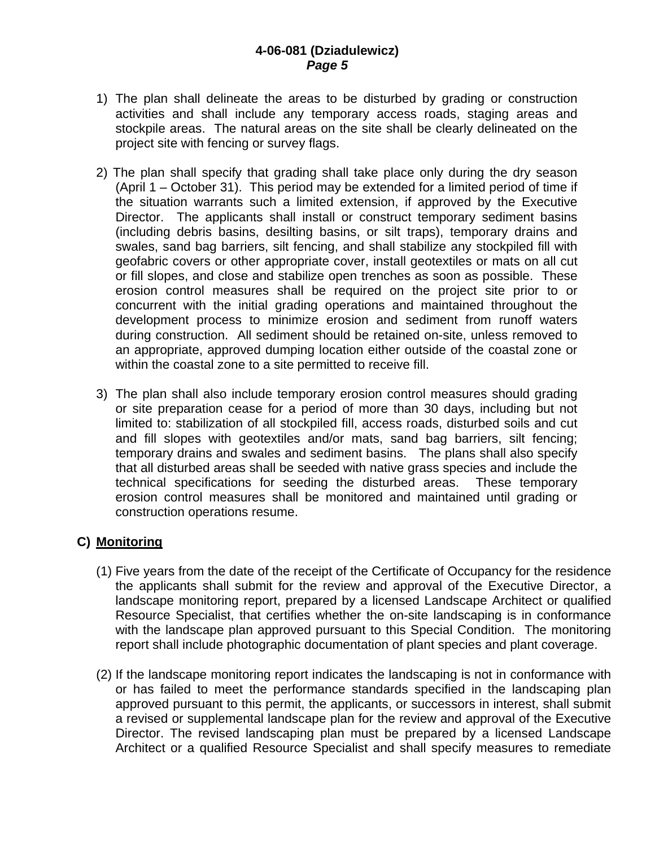- 1) The plan shall delineate the areas to be disturbed by grading or construction activities and shall include any temporary access roads, staging areas and stockpile areas. The natural areas on the site shall be clearly delineated on the project site with fencing or survey flags.
- 2) The plan shall specify that grading shall take place only during the dry season (April 1 – October 31). This period may be extended for a limited period of time if the situation warrants such a limited extension, if approved by the Executive Director. The applicants shall install or construct temporary sediment basins (including debris basins, desilting basins, or silt traps), temporary drains and swales, sand bag barriers, silt fencing, and shall stabilize any stockpiled fill with geofabric covers or other appropriate cover, install geotextiles or mats on all cut or fill slopes, and close and stabilize open trenches as soon as possible. These erosion control measures shall be required on the project site prior to or concurrent with the initial grading operations and maintained throughout the development process to minimize erosion and sediment from runoff waters during construction. All sediment should be retained on-site, unless removed to an appropriate, approved dumping location either outside of the coastal zone or within the coastal zone to a site permitted to receive fill.
- 3) The plan shall also include temporary erosion control measures should grading or site preparation cease for a period of more than 30 days, including but not limited to: stabilization of all stockpiled fill, access roads, disturbed soils and cut and fill slopes with geotextiles and/or mats, sand bag barriers, silt fencing; temporary drains and swales and sediment basins. The plans shall also specify that all disturbed areas shall be seeded with native grass species and include the technical specifications for seeding the disturbed areas. These temporary erosion control measures shall be monitored and maintained until grading or construction operations resume.

# **C) Monitoring**

- (1) Five years from the date of the receipt of the Certificate of Occupancy for the residence the applicants shall submit for the review and approval of the Executive Director, a landscape monitoring report, prepared by a licensed Landscape Architect or qualified Resource Specialist, that certifies whether the on-site landscaping is in conformance with the landscape plan approved pursuant to this Special Condition. The monitoring report shall include photographic documentation of plant species and plant coverage.
- (2) If the landscape monitoring report indicates the landscaping is not in conformance with or has failed to meet the performance standards specified in the landscaping plan approved pursuant to this permit, the applicants, or successors in interest, shall submit a revised or supplemental landscape plan for the review and approval of the Executive Director. The revised landscaping plan must be prepared by a licensed Landscape Architect or a qualified Resource Specialist and shall specify measures to remediate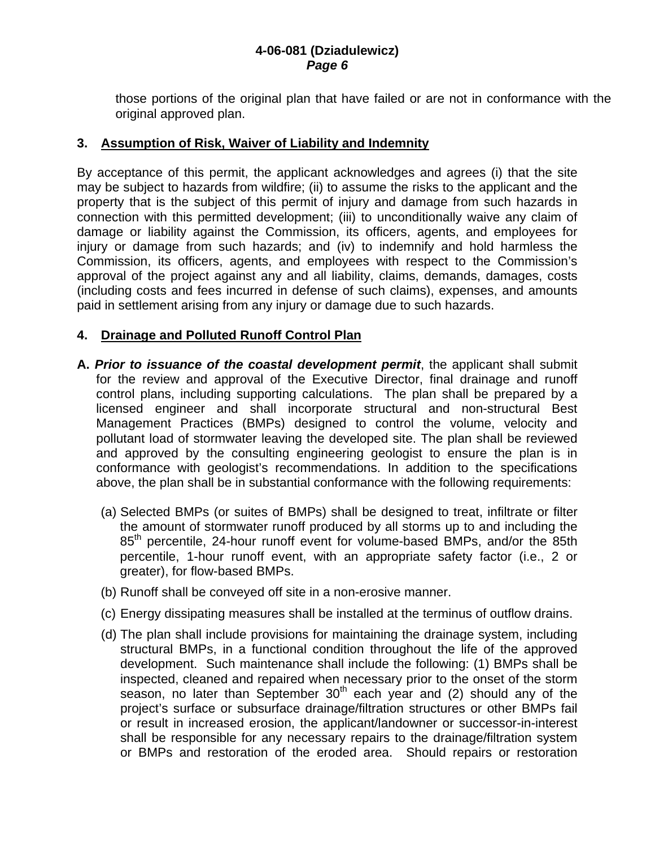those portions of the original plan that have failed or are not in conformance with the original approved plan.

# **3. Assumption of Risk, Waiver of Liability and Indemnity**

By acceptance of this permit, the applicant acknowledges and agrees (i) that the site may be subject to hazards from wildfire; (ii) to assume the risks to the applicant and the property that is the subject of this permit of injury and damage from such hazards in connection with this permitted development; (iii) to unconditionally waive any claim of damage or liability against the Commission, its officers, agents, and employees for injury or damage from such hazards; and (iv) to indemnify and hold harmless the Commission, its officers, agents, and employees with respect to the Commission's approval of the project against any and all liability, claims, demands, damages, costs (including costs and fees incurred in defense of such claims), expenses, and amounts paid in settlement arising from any injury or damage due to such hazards.

# **4. Drainage and Polluted Runoff Control Plan**

- **A.** *Prior to issuance of the coastal development permit*, the applicant shall submit for the review and approval of the Executive Director, final drainage and runoff control plans, including supporting calculations. The plan shall be prepared by a licensed engineer and shall incorporate structural and non-structural Best Management Practices (BMPs) designed to control the volume, velocity and pollutant load of stormwater leaving the developed site. The plan shall be reviewed and approved by the consulting engineering geologist to ensure the plan is in conformance with geologist's recommendations. In addition to the specifications above, the plan shall be in substantial conformance with the following requirements:
	- (a) Selected BMPs (or suites of BMPs) shall be designed to treat, infiltrate or filter the amount of stormwater runoff produced by all storms up to and including the 85<sup>th</sup> percentile, 24-hour runoff event for volume-based BMPs, and/or the 85th percentile, 1-hour runoff event, with an appropriate safety factor (i.e., 2 or greater), for flow-based BMPs.
	- (b) Runoff shall be conveyed off site in a non-erosive manner.
	- (c) Energy dissipating measures shall be installed at the terminus of outflow drains.
	- (d) The plan shall include provisions for maintaining the drainage system, including structural BMPs, in a functional condition throughout the life of the approved development. Such maintenance shall include the following: (1) BMPs shall be inspected, cleaned and repaired when necessary prior to the onset of the storm season, no later than September  $30<sup>th</sup>$  each year and (2) should any of the project's surface or subsurface drainage/filtration structures or other BMPs fail or result in increased erosion, the applicant/landowner or successor-in-interest shall be responsible for any necessary repairs to the drainage/filtration system or BMPs and restoration of the eroded area. Should repairs or restoration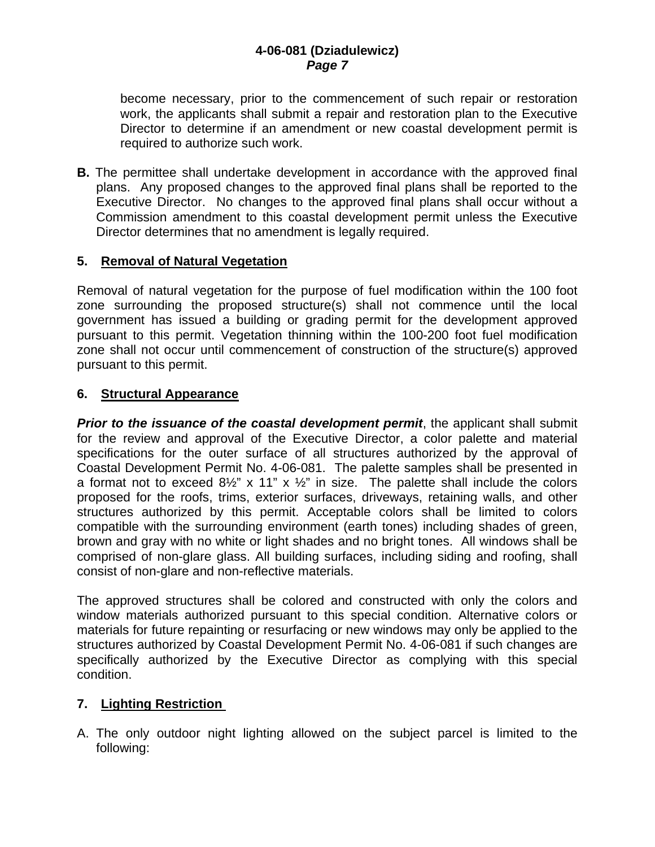become necessary, prior to the commencement of such repair or restoration work, the applicants shall submit a repair and restoration plan to the Executive Director to determine if an amendment or new coastal development permit is required to authorize such work.

**B.** The permittee shall undertake development in accordance with the approved final plans. Any proposed changes to the approved final plans shall be reported to the Executive Director. No changes to the approved final plans shall occur without a Commission amendment to this coastal development permit unless the Executive Director determines that no amendment is legally required.

# **5. Removal of Natural Vegetation**

Removal of natural vegetation for the purpose of fuel modification within the 100 foot zone surrounding the proposed structure(s) shall not commence until the local government has issued a building or grading permit for the development approved pursuant to this permit. Vegetation thinning within the 100-200 foot fuel modification zone shall not occur until commencement of construction of the structure(s) approved pursuant to this permit.

# **6. Structural Appearance**

**Prior to the issuance of the coastal development permit**, the applicant shall submit for the review and approval of the Executive Director, a color palette and material specifications for the outer surface of all structures authorized by the approval of Coastal Development Permit No. 4-06-081. The palette samples shall be presented in a format not to exceed  $8\frac{1}{2}$ " x 11" x  $\frac{1}{2}$ " in size. The palette shall include the colors proposed for the roofs, trims, exterior surfaces, driveways, retaining walls, and other structures authorized by this permit. Acceptable colors shall be limited to colors compatible with the surrounding environment (earth tones) including shades of green, brown and gray with no white or light shades and no bright tones. All windows shall be comprised of non-glare glass. All building surfaces, including siding and roofing, shall consist of non-glare and non-reflective materials.

The approved structures shall be colored and constructed with only the colors and window materials authorized pursuant to this special condition. Alternative colors or materials for future repainting or resurfacing or new windows may only be applied to the structures authorized by Coastal Development Permit No. 4-06-081 if such changes are specifically authorized by the Executive Director as complying with this special condition.

# **7. Lighting Restriction**

A. The only outdoor night lighting allowed on the subject parcel is limited to the following: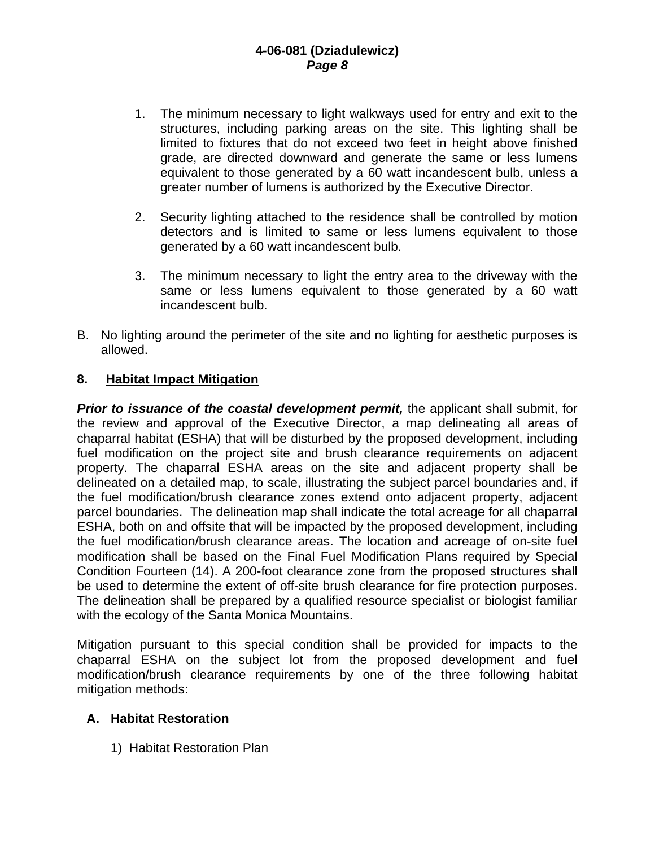- 1. The minimum necessary to light walkways used for entry and exit to the structures, including parking areas on the site. This lighting shall be limited to fixtures that do not exceed two feet in height above finished grade, are directed downward and generate the same or less lumens equivalent to those generated by a 60 watt incandescent bulb, unless a greater number of lumens is authorized by the Executive Director.
- 2. Security lighting attached to the residence shall be controlled by motion detectors and is limited to same or less lumens equivalent to those generated by a 60 watt incandescent bulb.
- 3. The minimum necessary to light the entry area to the driveway with the same or less lumens equivalent to those generated by a 60 watt incandescent bulb.
- B. No lighting around the perimeter of the site and no lighting for aesthetic purposes is allowed.

# **8. Habitat Impact Mitigation**

*Prior to issuance of the coastal development permit,* the applicant shall submit, for the review and approval of the Executive Director, a map delineating all areas of chaparral habitat (ESHA) that will be disturbed by the proposed development, including fuel modification on the project site and brush clearance requirements on adjacent property. The chaparral ESHA areas on the site and adjacent property shall be delineated on a detailed map, to scale, illustrating the subject parcel boundaries and, if the fuel modification/brush clearance zones extend onto adjacent property, adjacent parcel boundaries. The delineation map shall indicate the total acreage for all chaparral ESHA, both on and offsite that will be impacted by the proposed development, including the fuel modification/brush clearance areas. The location and acreage of on-site fuel modification shall be based on the Final Fuel Modification Plans required by Special Condition Fourteen (14). A 200-foot clearance zone from the proposed structures shall be used to determine the extent of off-site brush clearance for fire protection purposes. The delineation shall be prepared by a qualified resource specialist or biologist familiar with the ecology of the Santa Monica Mountains.

Mitigation pursuant to this special condition shall be provided for impacts to the chaparral ESHA on the subject lot from the proposed development and fuel modification/brush clearance requirements by one of the three following habitat mitigation methods:

# **A. Habitat Restoration**

1) Habitat Restoration Plan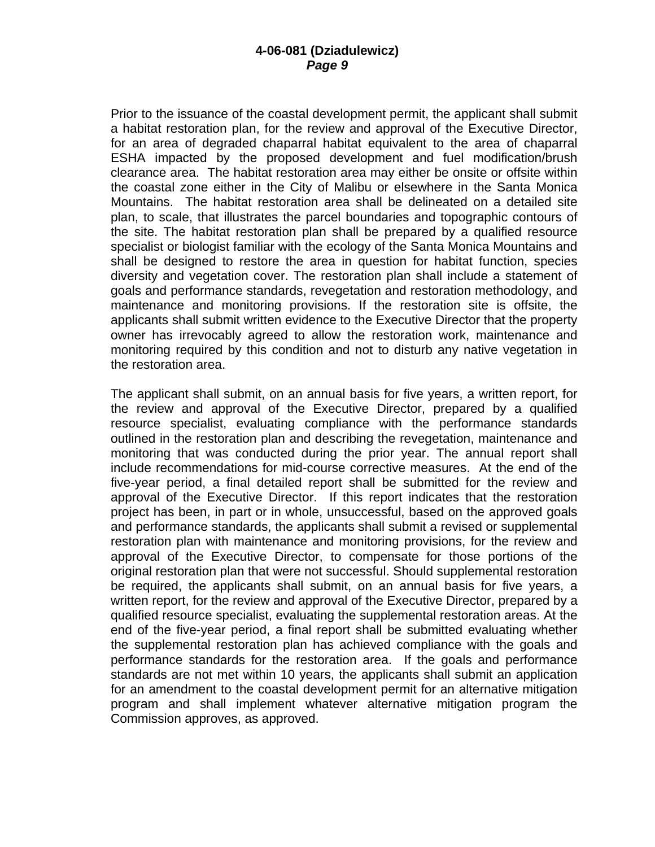Prior to the issuance of the coastal development permit, the applicant shall submit a habitat restoration plan, for the review and approval of the Executive Director, for an area of degraded chaparral habitat equivalent to the area of chaparral ESHA impacted by the proposed development and fuel modification/brush clearance area. The habitat restoration area may either be onsite or offsite within the coastal zone either in the City of Malibu or elsewhere in the Santa Monica Mountains. The habitat restoration area shall be delineated on a detailed site plan, to scale, that illustrates the parcel boundaries and topographic contours of the site. The habitat restoration plan shall be prepared by a qualified resource specialist or biologist familiar with the ecology of the Santa Monica Mountains and shall be designed to restore the area in question for habitat function, species diversity and vegetation cover. The restoration plan shall include a statement of goals and performance standards, revegetation and restoration methodology, and maintenance and monitoring provisions. If the restoration site is offsite, the applicants shall submit written evidence to the Executive Director that the property owner has irrevocably agreed to allow the restoration work, maintenance and monitoring required by this condition and not to disturb any native vegetation in the restoration area.

The applicant shall submit, on an annual basis for five years, a written report, for the review and approval of the Executive Director, prepared by a qualified resource specialist, evaluating compliance with the performance standards outlined in the restoration plan and describing the revegetation, maintenance and monitoring that was conducted during the prior year. The annual report shall include recommendations for mid-course corrective measures. At the end of the five-year period, a final detailed report shall be submitted for the review and approval of the Executive Director. If this report indicates that the restoration project has been, in part or in whole, unsuccessful, based on the approved goals and performance standards, the applicants shall submit a revised or supplemental restoration plan with maintenance and monitoring provisions, for the review and approval of the Executive Director, to compensate for those portions of the original restoration plan that were not successful. Should supplemental restoration be required, the applicants shall submit, on an annual basis for five years, a written report, for the review and approval of the Executive Director, prepared by a qualified resource specialist, evaluating the supplemental restoration areas. At the end of the five-year period, a final report shall be submitted evaluating whether the supplemental restoration plan has achieved compliance with the goals and performance standards for the restoration area. If the goals and performance standards are not met within 10 years, the applicants shall submit an application for an amendment to the coastal development permit for an alternative mitigation program and shall implement whatever alternative mitigation program the Commission approves, as approved.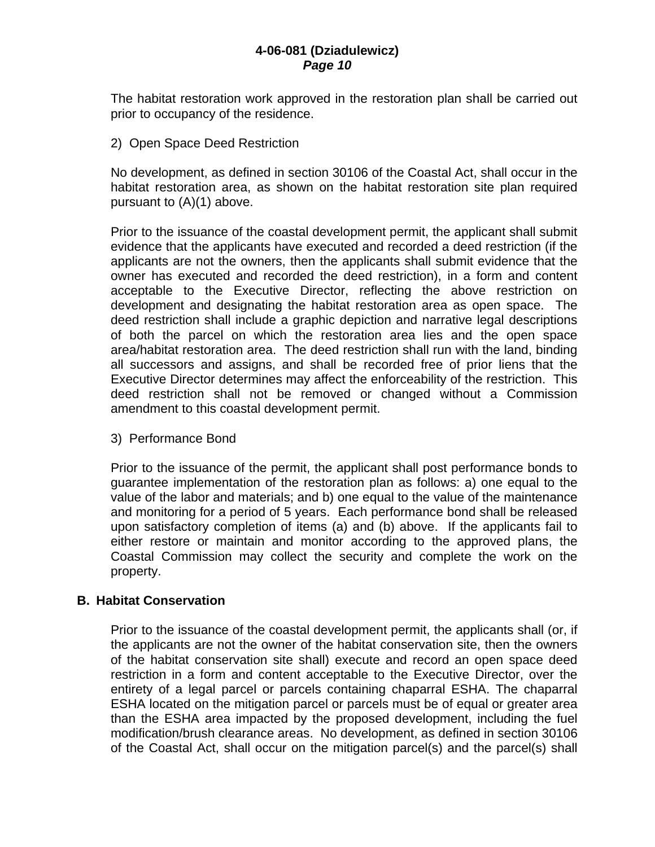The habitat restoration work approved in the restoration plan shall be carried out prior to occupancy of the residence.

2) Open Space Deed Restriction

No development, as defined in section 30106 of the Coastal Act, shall occur in the habitat restoration area, as shown on the habitat restoration site plan required pursuant to (A)(1) above.

Prior to the issuance of the coastal development permit, the applicant shall submit evidence that the applicants have executed and recorded a deed restriction (if the applicants are not the owners, then the applicants shall submit evidence that the owner has executed and recorded the deed restriction), in a form and content acceptable to the Executive Director, reflecting the above restriction on development and designating the habitat restoration area as open space. The deed restriction shall include a graphic depiction and narrative legal descriptions of both the parcel on which the restoration area lies and the open space area/habitat restoration area. The deed restriction shall run with the land, binding all successors and assigns, and shall be recorded free of prior liens that the Executive Director determines may affect the enforceability of the restriction. This deed restriction shall not be removed or changed without a Commission amendment to this coastal development permit.

3) Performance Bond

Prior to the issuance of the permit, the applicant shall post performance bonds to guarantee implementation of the restoration plan as follows: a) one equal to the value of the labor and materials; and b) one equal to the value of the maintenance and monitoring for a period of 5 years. Each performance bond shall be released upon satisfactory completion of items (a) and (b) above. If the applicants fail to either restore or maintain and monitor according to the approved plans, the Coastal Commission may collect the security and complete the work on the property.

# **B. Habitat Conservation**

Prior to the issuance of the coastal development permit, the applicants shall (or, if the applicants are not the owner of the habitat conservation site, then the owners of the habitat conservation site shall) execute and record an open space deed restriction in a form and content acceptable to the Executive Director, over the entirety of a legal parcel or parcels containing chaparral ESHA. The chaparral ESHA located on the mitigation parcel or parcels must be of equal or greater area than the ESHA area impacted by the proposed development, including the fuel modification/brush clearance areas. No development, as defined in section 30106 of the Coastal Act, shall occur on the mitigation parcel(s) and the parcel(s) shall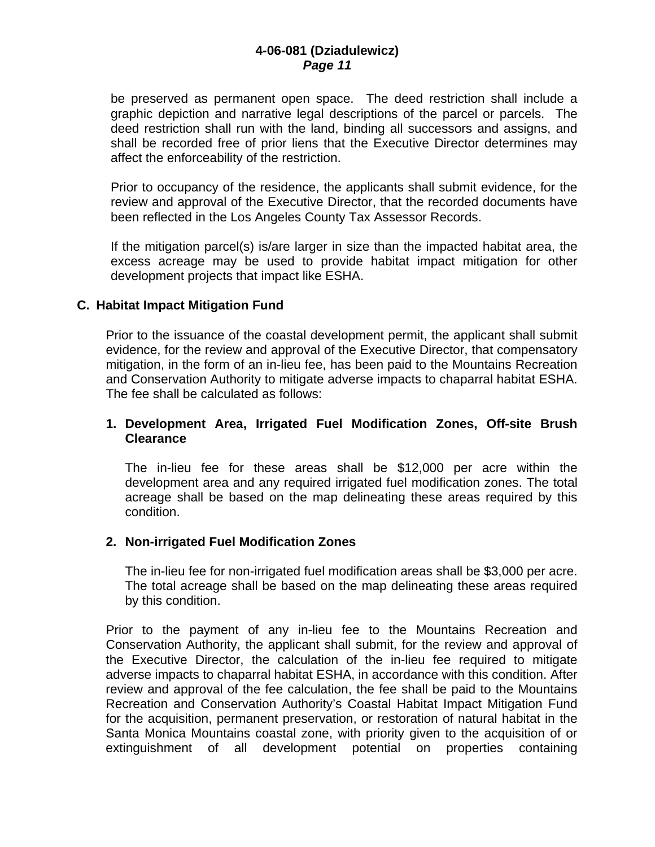be preserved as permanent open space. The deed restriction shall include a graphic depiction and narrative legal descriptions of the parcel or parcels. The deed restriction shall run with the land, binding all successors and assigns, and shall be recorded free of prior liens that the Executive Director determines may affect the enforceability of the restriction.

Prior to occupancy of the residence, the applicants shall submit evidence, for the review and approval of the Executive Director, that the recorded documents have been reflected in the Los Angeles County Tax Assessor Records.

If the mitigation parcel(s) is/are larger in size than the impacted habitat area, the excess acreage may be used to provide habitat impact mitigation for other development projects that impact like ESHA.

#### **C. Habitat Impact Mitigation Fund**

Prior to the issuance of the coastal development permit, the applicant shall submit evidence, for the review and approval of the Executive Director, that compensatory mitigation, in the form of an in-lieu fee, has been paid to the Mountains Recreation and Conservation Authority to mitigate adverse impacts to chaparral habitat ESHA. The fee shall be calculated as follows:

#### **1. Development Area, Irrigated Fuel Modification Zones, Off-site Brush Clearance**

The in-lieu fee for these areas shall be \$12,000 per acre within the development area and any required irrigated fuel modification zones. The total acreage shall be based on the map delineating these areas required by this condition.

# **2. Non-irrigated Fuel Modification Zones**

The in-lieu fee for non-irrigated fuel modification areas shall be \$3,000 per acre. The total acreage shall be based on the map delineating these areas required by this condition.

Prior to the payment of any in-lieu fee to the Mountains Recreation and Conservation Authority, the applicant shall submit, for the review and approval of the Executive Director, the calculation of the in-lieu fee required to mitigate adverse impacts to chaparral habitat ESHA, in accordance with this condition. After review and approval of the fee calculation, the fee shall be paid to the Mountains Recreation and Conservation Authority's Coastal Habitat Impact Mitigation Fund for the acquisition, permanent preservation, or restoration of natural habitat in the Santa Monica Mountains coastal zone, with priority given to the acquisition of or extinguishment of all development potential on properties containing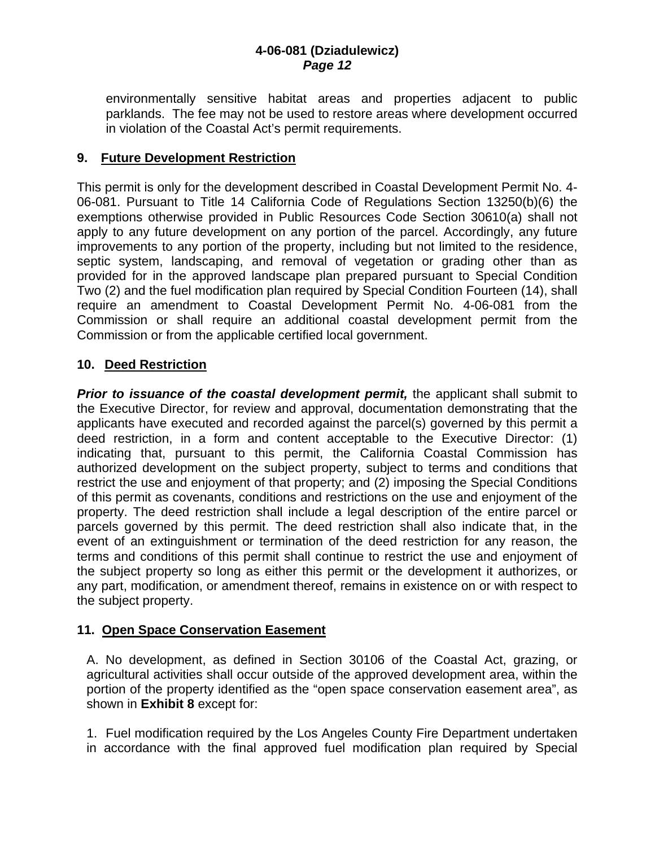environmentally sensitive habitat areas and properties adjacent to public parklands. The fee may not be used to restore areas where development occurred in violation of the Coastal Act's permit requirements.

# **9. Future Development Restriction**

This permit is only for the development described in Coastal Development Permit No. 4- 06-081. Pursuant to Title 14 California Code of Regulations Section 13250(b)(6) the exemptions otherwise provided in Public Resources Code Section 30610(a) shall not apply to any future development on any portion of the parcel. Accordingly, any future improvements to any portion of the property, including but not limited to the residence, septic system, landscaping, and removal of vegetation or grading other than as provided for in the approved landscape plan prepared pursuant to Special Condition Two (2) and the fuel modification plan required by Special Condition Fourteen (14), shall require an amendment to Coastal Development Permit No. 4-06-081 from the Commission or shall require an additional coastal development permit from the Commission or from the applicable certified local government.

# **10. Deed Restriction**

**Prior to issuance of the coastal development permit,** the applicant shall submit to the Executive Director, for review and approval, documentation demonstrating that the applicants have executed and recorded against the parcel(s) governed by this permit a deed restriction, in a form and content acceptable to the Executive Director: (1) indicating that, pursuant to this permit, the California Coastal Commission has authorized development on the subject property, subject to terms and conditions that restrict the use and enjoyment of that property; and (2) imposing the Special Conditions of this permit as covenants, conditions and restrictions on the use and enjoyment of the property. The deed restriction shall include a legal description of the entire parcel or parcels governed by this permit. The deed restriction shall also indicate that, in the event of an extinguishment or termination of the deed restriction for any reason, the terms and conditions of this permit shall continue to restrict the use and enjoyment of the subject property so long as either this permit or the development it authorizes, or any part, modification, or amendment thereof, remains in existence on or with respect to the subject property.

# **11. Open Space Conservation Easement**

A. No development, as defined in Section 30106 of the Coastal Act, grazing, or agricultural activities shall occur outside of the approved development area, within the portion of the property identified as the "open space conservation easement area", as shown in **Exhibit 8** except for:

1. Fuel modification required by the Los Angeles County Fire Department undertaken in accordance with the final approved fuel modification plan required by Special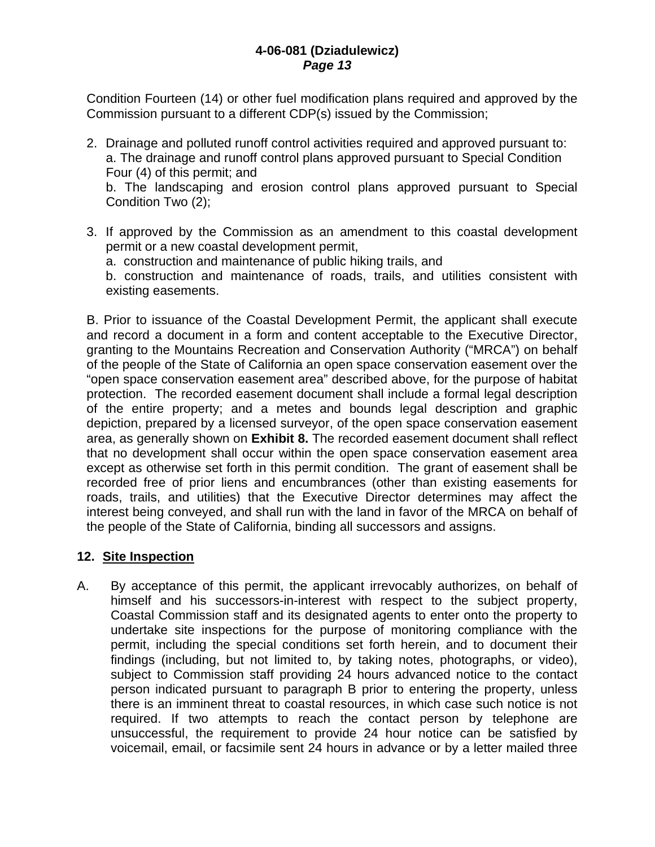Condition Fourteen (14) or other fuel modification plans required and approved by the Commission pursuant to a different CDP(s) issued by the Commission;

- 2. Drainage and polluted runoff control activities required and approved pursuant to: a. The drainage and runoff control plans approved pursuant to Special Condition Four (4) of this permit; and b. The landscaping and erosion control plans approved pursuant to Special Condition Two (2);
- 3. If approved by the Commission as an amendment to this coastal development permit or a new coastal development permit,

a. construction and maintenance of public hiking trails, and

 b. construction and maintenance of roads, trails, and utilities consistent with existing easements.

B. Prior to issuance of the Coastal Development Permit, the applicant shall execute and record a document in a form and content acceptable to the Executive Director, granting to the Mountains Recreation and Conservation Authority ("MRCA") on behalf of the people of the State of California an open space conservation easement over the "open space conservation easement area" described above, for the purpose of habitat protection. The recorded easement document shall include a formal legal description of the entire property; and a metes and bounds legal description and graphic depiction, prepared by a licensed surveyor, of the open space conservation easement area, as generally shown on **Exhibit 8.** The recorded easement document shall reflect that no development shall occur within the open space conservation easement area except as otherwise set forth in this permit condition. The grant of easement shall be recorded free of prior liens and encumbrances (other than existing easements for roads, trails, and utilities) that the Executive Director determines may affect the interest being conveyed, and shall run with the land in favor of the MRCA on behalf of the people of the State of California, binding all successors and assigns.

# **12. Site Inspection**

A. By acceptance of this permit, the applicant irrevocably authorizes, on behalf of himself and his successors-in-interest with respect to the subject property, Coastal Commission staff and its designated agents to enter onto the property to undertake site inspections for the purpose of monitoring compliance with the permit, including the special conditions set forth herein, and to document their findings (including, but not limited to, by taking notes, photographs, or video), subject to Commission staff providing 24 hours advanced notice to the contact person indicated pursuant to paragraph B prior to entering the property, unless there is an imminent threat to coastal resources, in which case such notice is not required. If two attempts to reach the contact person by telephone are unsuccessful, the requirement to provide 24 hour notice can be satisfied by voicemail, email, or facsimile sent 24 hours in advance or by a letter mailed three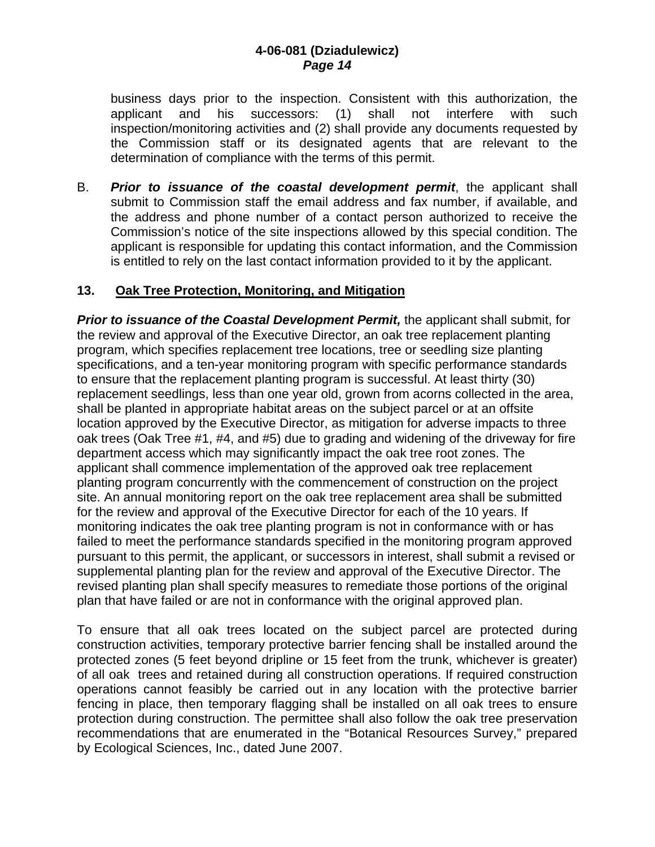business days prior to the inspection. Consistent with this authorization, the applicant and his successors: (1) shall not interfere with such inspection/monitoring activities and (2) shall provide any documents requested by the Commission staff or its designated agents that are relevant to the determination of compliance with the terms of this permit.

B. *Prior to issuance of the coastal development permit*, the applicant shall submit to Commission staff the email address and fax number, if available, and the address and phone number of a contact person authorized to receive the Commission's notice of the site inspections allowed by this special condition. The applicant is responsible for updating this contact information, and the Commission is entitled to rely on the last contact information provided to it by the applicant.

# **13. Oak Tree Protection, Monitoring, and Mitigation**

*Prior to issuance of the Coastal Development Permit, the applicant shall submit, for* the review and approval of the Executive Director, an oak tree replacement planting program, which specifies replacement tree locations, tree or seedling size planting specifications, and a ten-year monitoring program with specific performance standards to ensure that the replacement planting program is successful. At least thirty (30) replacement seedlings, less than one year old, grown from acorns collected in the area, shall be planted in appropriate habitat areas on the subject parcel or at an offsite location approved by the Executive Director, as mitigation for adverse impacts to three oak trees (Oak Tree #1, #4, and #5) due to grading and widening of the driveway for fire department access which may significantly impact the oak tree root zones. The applicant shall commence implementation of the approved oak tree replacement planting program concurrently with the commencement of construction on the project site. An annual monitoring report on the oak tree replacement area shall be submitted for the review and approval of the Executive Director for each of the 10 years. If monitoring indicates the oak tree planting program is not in conformance with or has failed to meet the performance standards specified in the monitoring program approved pursuant to this permit, the applicant, or successors in interest, shall submit a revised or supplemental planting plan for the review and approval of the Executive Director. The revised planting plan shall specify measures to remediate those portions of the original plan that have failed or are not in conformance with the original approved plan.

 To ensure that all oak trees located on the subject parcel are protected during construction activities, temporary protective barrier fencing shall be installed around the protected zones (5 feet beyond dripline or 15 feet from the trunk, whichever is greater) of all oak trees and retained during all construction operations. If required construction operations cannot feasibly be carried out in any location with the protective barrier fencing in place, then temporary flagging shall be installed on all oak trees to ensure protection during construction. The permittee shall also follow the oak tree preservation recommendations that are enumerated in the "Botanical Resources Survey," prepared by Ecological Sciences, Inc., dated June 2007.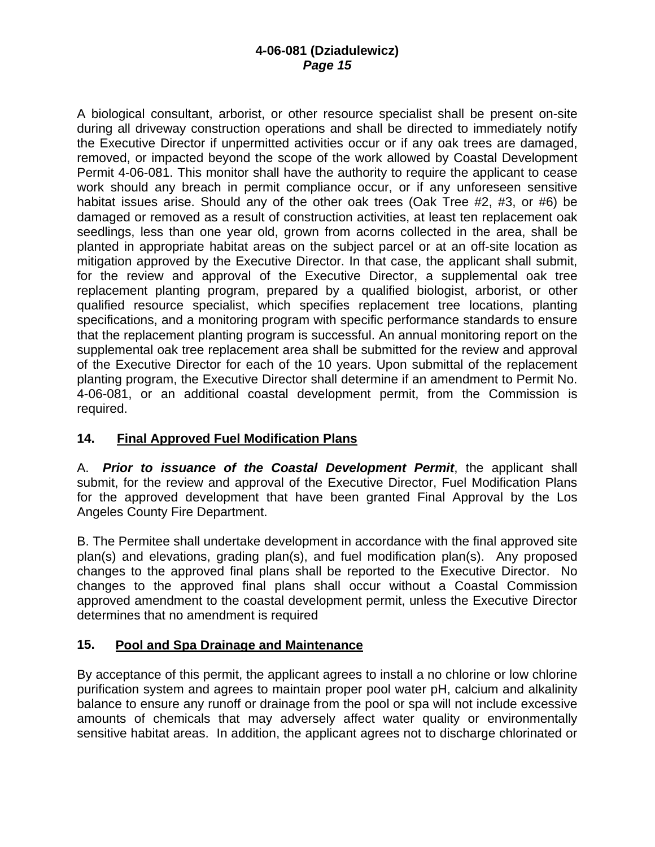A biological consultant, arborist, or other resource specialist shall be present on-site during all driveway construction operations and shall be directed to immediately notify the Executive Director if unpermitted activities occur or if any oak trees are damaged, removed, or impacted beyond the scope of the work allowed by Coastal Development Permit 4-06-081. This monitor shall have the authority to require the applicant to cease work should any breach in permit compliance occur, or if any unforeseen sensitive habitat issues arise. Should any of the other oak trees (Oak Tree #2, #3, or #6) be damaged or removed as a result of construction activities, at least ten replacement oak seedlings, less than one year old, grown from acorns collected in the area, shall be planted in appropriate habitat areas on the subject parcel or at an off-site location as mitigation approved by the Executive Director. In that case, the applicant shall submit, for the review and approval of the Executive Director, a supplemental oak tree replacement planting program, prepared by a qualified biologist, arborist, or other qualified resource specialist, which specifies replacement tree locations, planting specifications, and a monitoring program with specific performance standards to ensure that the replacement planting program is successful. An annual monitoring report on the supplemental oak tree replacement area shall be submitted for the review and approval of the Executive Director for each of the 10 years. Upon submittal of the replacement planting program, the Executive Director shall determine if an amendment to Permit No. 4-06-081, or an additional coastal development permit, from the Commission is required.

# **14. Final Approved Fuel Modification Plans**

A. *Prior to issuance of the Coastal Development Permit*, the applicant shall submit, for the review and approval of the Executive Director, Fuel Modification Plans for the approved development that have been granted Final Approval by the Los Angeles County Fire Department.

B. The Permitee shall undertake development in accordance with the final approved site plan(s) and elevations, grading plan(s), and fuel modification plan(s). Any proposed changes to the approved final plans shall be reported to the Executive Director. No changes to the approved final plans shall occur without a Coastal Commission approved amendment to the coastal development permit, unless the Executive Director determines that no amendment is required

# **15. Pool and Spa Drainage and Maintenance**

By acceptance of this permit, the applicant agrees to install a no chlorine or low chlorine purification system and agrees to maintain proper pool water pH, calcium and alkalinity balance to ensure any runoff or drainage from the pool or spa will not include excessive amounts of chemicals that may adversely affect water quality or environmentally sensitive habitat areas. In addition, the applicant agrees not to discharge chlorinated or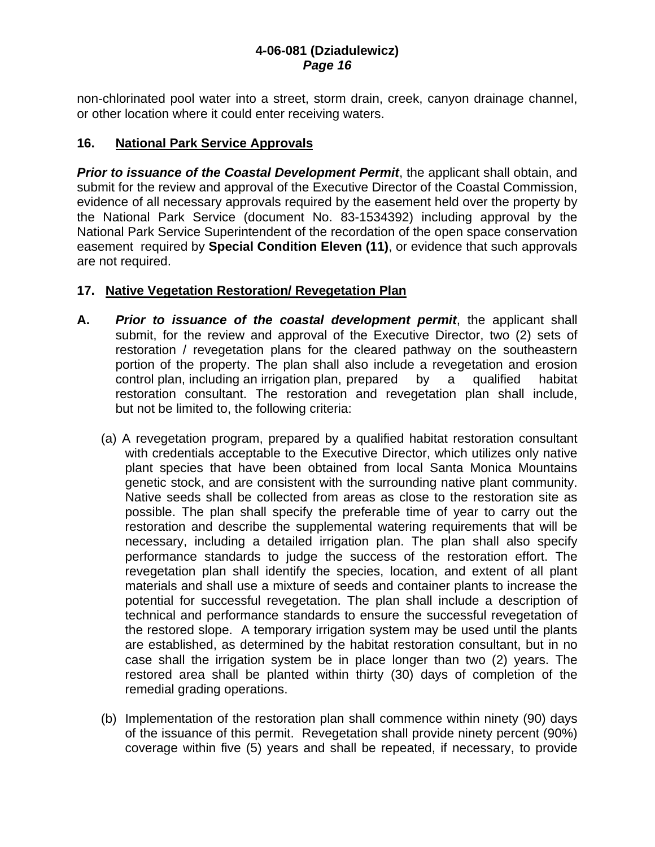non-chlorinated pool water into a street, storm drain, creek, canyon drainage channel, or other location where it could enter receiving waters.

# **16. National Park Service Approvals**

*Prior to issuance of the Coastal Development Permit*, the applicant shall obtain, and submit for the review and approval of the Executive Director of the Coastal Commission, evidence of all necessary approvals required by the easement held over the property by the National Park Service (document No. 83-1534392) including approval by the National Park Service Superintendent of the recordation of the open space conservation easement required by **Special Condition Eleven (11)**, or evidence that such approvals are not required.

# **17. Native Vegetation Restoration/ Revegetation Plan**

- **A.** *Prior to issuance of the coastal development permit*, the applicant shall submit, for the review and approval of the Executive Director, two (2) sets of restoration / revegetation plans for the cleared pathway on the southeastern portion of the property. The plan shall also include a revegetation and erosion control plan, including an irrigation plan, prepared by a qualified habitat restoration consultant. The restoration and revegetation plan shall include, but not be limited to, the following criteria:
	- (a) A revegetation program, prepared by a qualified habitat restoration consultant with credentials acceptable to the Executive Director, which utilizes only native plant species that have been obtained from local Santa Monica Mountains genetic stock, and are consistent with the surrounding native plant community. Native seeds shall be collected from areas as close to the restoration site as possible. The plan shall specify the preferable time of year to carry out the restoration and describe the supplemental watering requirements that will be necessary, including a detailed irrigation plan. The plan shall also specify performance standards to judge the success of the restoration effort. The revegetation plan shall identify the species, location, and extent of all plant materials and shall use a mixture of seeds and container plants to increase the potential for successful revegetation. The plan shall include a description of technical and performance standards to ensure the successful revegetation of the restored slope. A temporary irrigation system may be used until the plants are established, as determined by the habitat restoration consultant, but in no case shall the irrigation system be in place longer than two (2) years. The restored area shall be planted within thirty (30) days of completion of the remedial grading operations.
	- (b) Implementation of the restoration plan shall commence within ninety (90) days of the issuance of this permit. Revegetation shall provide ninety percent (90%) coverage within five (5) years and shall be repeated, if necessary, to provide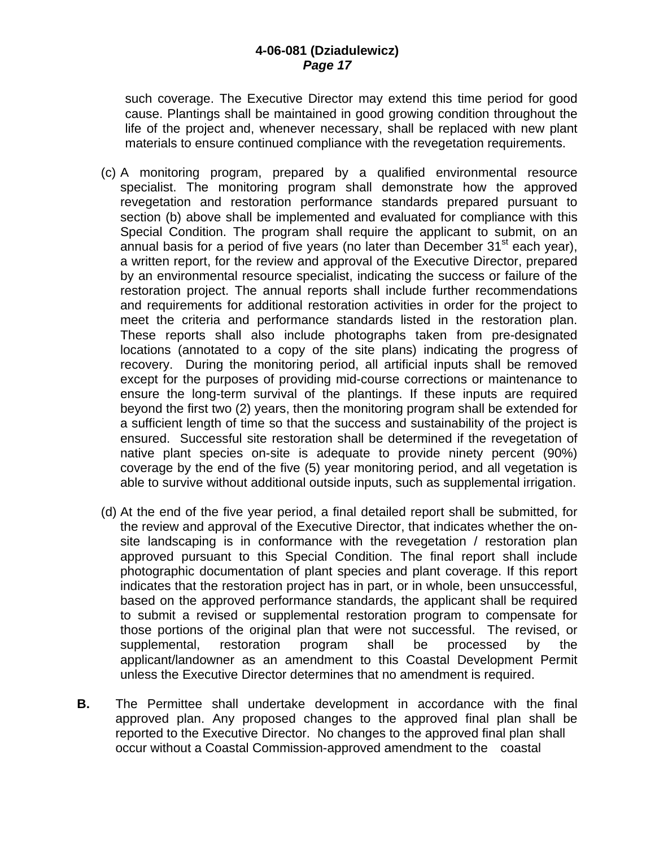such coverage. The Executive Director may extend this time period for good cause. Plantings shall be maintained in good growing condition throughout the life of the project and, whenever necessary, shall be replaced with new plant materials to ensure continued compliance with the revegetation requirements.

- (c) A monitoring program, prepared by a qualified environmental resource specialist. The monitoring program shall demonstrate how the approved revegetation and restoration performance standards prepared pursuant to section (b) above shall be implemented and evaluated for compliance with this Special Condition. The program shall require the applicant to submit, on an annual basis for a period of five years (no later than December  $31<sup>st</sup>$  each year), a written report, for the review and approval of the Executive Director, prepared by an environmental resource specialist, indicating the success or failure of the restoration project. The annual reports shall include further recommendations and requirements for additional restoration activities in order for the project to meet the criteria and performance standards listed in the restoration plan. These reports shall also include photographs taken from pre-designated locations (annotated to a copy of the site plans) indicating the progress of recovery. During the monitoring period, all artificial inputs shall be removed except for the purposes of providing mid-course corrections or maintenance to ensure the long-term survival of the plantings. If these inputs are required beyond the first two (2) years, then the monitoring program shall be extended for a sufficient length of time so that the success and sustainability of the project is ensured. Successful site restoration shall be determined if the revegetation of native plant species on-site is adequate to provide ninety percent (90%) coverage by the end of the five (5) year monitoring period, and all vegetation is able to survive without additional outside inputs, such as supplemental irrigation.
- (d) At the end of the five year period, a final detailed report shall be submitted, for the review and approval of the Executive Director, that indicates whether the onsite landscaping is in conformance with the revegetation / restoration plan approved pursuant to this Special Condition. The final report shall include photographic documentation of plant species and plant coverage. If this report indicates that the restoration project has in part, or in whole, been unsuccessful, based on the approved performance standards, the applicant shall be required to submit a revised or supplemental restoration program to compensate for those portions of the original plan that were not successful. The revised, or supplemental, restoration program shall be processed by the applicant/landowner as an amendment to this Coastal Development Permit unless the Executive Director determines that no amendment is required.
- **B.** The Permittee shall undertake development in accordance with the final approved plan. Any proposed changes to the approved final plan shall be reported to the Executive Director. No changes to the approved final plan shall occur without a Coastal Commission-approved amendment to the coastal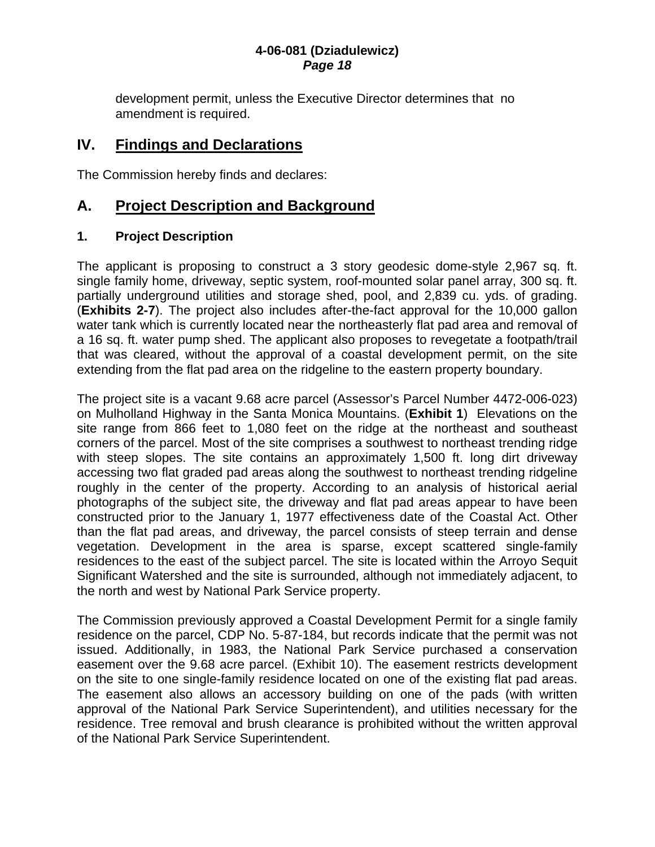development permit, unless the Executive Director determines that no amendment is required.

# **IV. Findings and Declarations**

The Commission hereby finds and declares:

# **A. Project Description and Background**

# **1. Project Description**

The applicant is proposing to construct a 3 story geodesic dome-style 2,967 sq. ft. single family home, driveway, septic system, roof-mounted solar panel array, 300 sq. ft. partially underground utilities and storage shed, pool, and 2,839 cu. yds. of grading. (**Exhibits 2-7**). The project also includes after-the-fact approval for the 10,000 gallon water tank which is currently located near the northeasterly flat pad area and removal of a 16 sq. ft. water pump shed. The applicant also proposes to revegetate a footpath/trail that was cleared, without the approval of a coastal development permit, on the site extending from the flat pad area on the ridgeline to the eastern property boundary.

The project site is a vacant 9.68 acre parcel (Assessor's Parcel Number 4472-006-023) on Mulholland Highway in the Santa Monica Mountains. (**Exhibit 1**) Elevations on the site range from 866 feet to 1,080 feet on the ridge at the northeast and southeast corners of the parcel. Most of the site comprises a southwest to northeast trending ridge with steep slopes. The site contains an approximately 1,500 ft. long dirt driveway accessing two flat graded pad areas along the southwest to northeast trending ridgeline roughly in the center of the property. According to an analysis of historical aerial photographs of the subject site, the driveway and flat pad areas appear to have been constructed prior to the January 1, 1977 effectiveness date of the Coastal Act. Other than the flat pad areas, and driveway, the parcel consists of steep terrain and dense vegetation. Development in the area is sparse, except scattered single-family residences to the east of the subject parcel. The site is located within the Arroyo Sequit Significant Watershed and the site is surrounded, although not immediately adjacent, to the north and west by National Park Service property.

The Commission previously approved a Coastal Development Permit for a single family residence on the parcel, CDP No. 5-87-184, but records indicate that the permit was not issued. Additionally, in 1983, the National Park Service purchased a conservation easement over the 9.68 acre parcel. (Exhibit 10). The easement restricts development on the site to one single-family residence located on one of the existing flat pad areas. The easement also allows an accessory building on one of the pads (with written approval of the National Park Service Superintendent), and utilities necessary for the residence. Tree removal and brush clearance is prohibited without the written approval of the National Park Service Superintendent.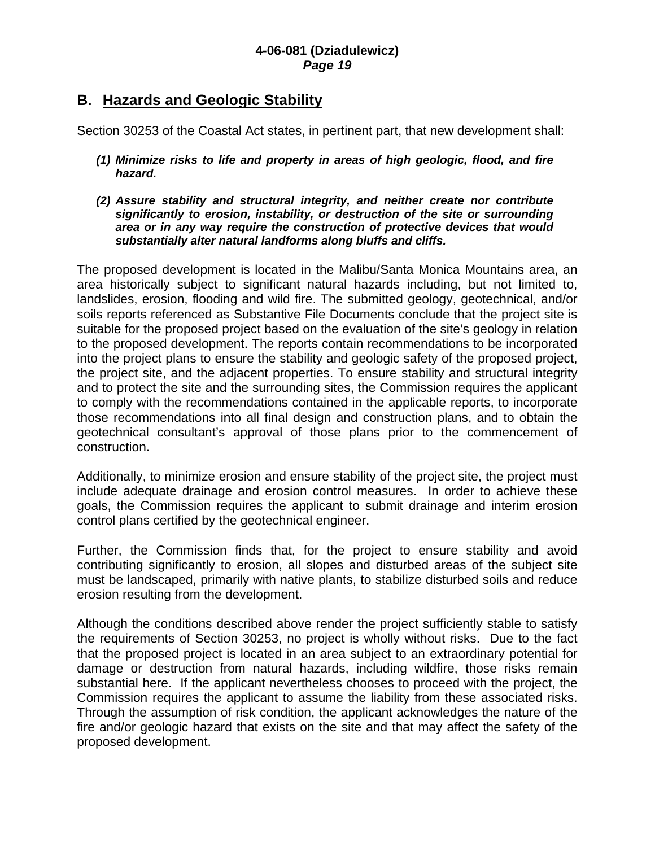# **B. Hazards and Geologic Stability**

Section 30253 of the Coastal Act states, in pertinent part, that new development shall:

- *(1) Minimize risks to life and property in areas of high geologic, flood, and fire hazard.*
- *(2) Assure stability and structural integrity, and neither create nor contribute significantly to erosion, instability, or destruction of the site or surrounding area or in any way require the construction of protective devices that would substantially alter natural landforms along bluffs and cliffs.*

The proposed development is located in the Malibu/Santa Monica Mountains area, an area historically subject to significant natural hazards including, but not limited to, landslides, erosion, flooding and wild fire. The submitted geology, geotechnical, and/or soils reports referenced as Substantive File Documents conclude that the project site is suitable for the proposed project based on the evaluation of the site's geology in relation to the proposed development. The reports contain recommendations to be incorporated into the project plans to ensure the stability and geologic safety of the proposed project, the project site, and the adjacent properties. To ensure stability and structural integrity and to protect the site and the surrounding sites, the Commission requires the applicant to comply with the recommendations contained in the applicable reports, to incorporate those recommendations into all final design and construction plans, and to obtain the geotechnical consultant's approval of those plans prior to the commencement of construction.

Additionally, to minimize erosion and ensure stability of the project site, the project must include adequate drainage and erosion control measures. In order to achieve these goals, the Commission requires the applicant to submit drainage and interim erosion control plans certified by the geotechnical engineer.

Further, the Commission finds that, for the project to ensure stability and avoid contributing significantly to erosion, all slopes and disturbed areas of the subject site must be landscaped, primarily with native plants, to stabilize disturbed soils and reduce erosion resulting from the development.

Although the conditions described above render the project sufficiently stable to satisfy the requirements of Section 30253, no project is wholly without risks. Due to the fact that the proposed project is located in an area subject to an extraordinary potential for damage or destruction from natural hazards, including wildfire, those risks remain substantial here. If the applicant nevertheless chooses to proceed with the project, the Commission requires the applicant to assume the liability from these associated risks. Through the assumption of risk condition, the applicant acknowledges the nature of the fire and/or geologic hazard that exists on the site and that may affect the safety of the proposed development.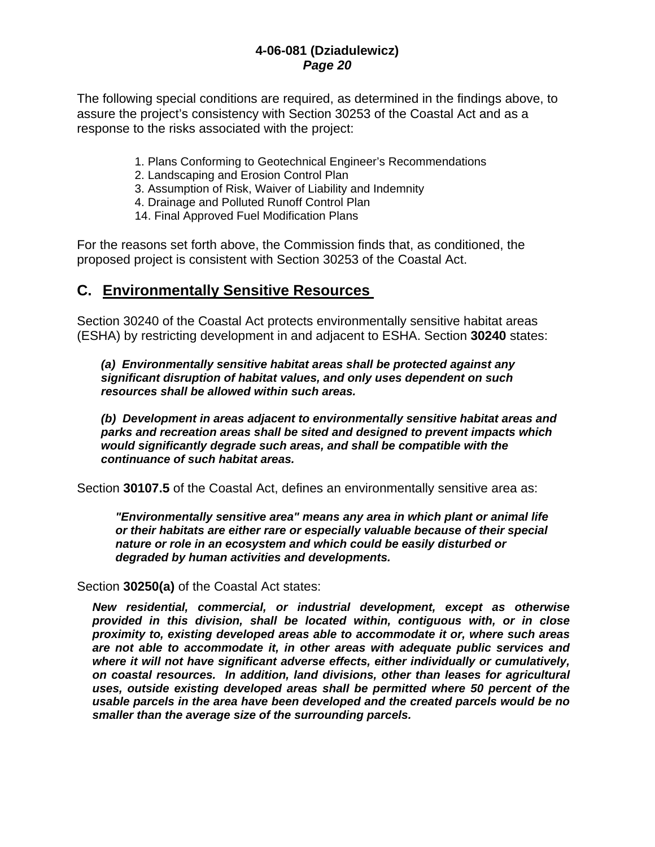The following special conditions are required, as determined in the findings above, to assure the project's consistency with Section 30253 of the Coastal Act and as a response to the risks associated with the project:

- 1. Plans Conforming to Geotechnical Engineer's Recommendations
- 2. Landscaping and Erosion Control Plan
- 3. Assumption of Risk, Waiver of Liability and Indemnity
- 4. Drainage and Polluted Runoff Control Plan
- 14. Final Approved Fuel Modification Plans

For the reasons set forth above, the Commission finds that, as conditioned, the proposed project is consistent with Section 30253 of the Coastal Act.

# **C. Environmentally Sensitive Resources**

Section 30240 of the Coastal Act protects environmentally sensitive habitat areas (ESHA) by restricting development in and adjacent to ESHA. Section **30240** states:

*(a) Environmentally sensitive habitat areas shall be protected against any significant disruption of habitat values, and only uses dependent on such resources shall be allowed within such areas.* 

 *(b) Development in areas adjacent to environmentally sensitive habitat areas and parks and recreation areas shall be sited and designed to prevent impacts which would significantly degrade such areas, and shall be compatible with the continuance of such habitat areas.*

Section **30107.5** of the Coastal Act, defines an environmentally sensitive area as:

*"Environmentally sensitive area" means any area in which plant or animal life or their habitats are either rare or especially valuable because of their special nature or role in an ecosystem and which could be easily disturbed or degraded by human activities and developments.* 

Section **30250(a)** of the Coastal Act states:

*New residential, commercial, or industrial development, except as otherwise provided in this division, shall be located within, contiguous with, or in close proximity to, existing developed areas able to accommodate it or, where such areas are not able to accommodate it, in other areas with adequate public services and where it will not have significant adverse effects, either individually or cumulatively, on coastal resources. In addition, land divisions, other than leases for agricultural uses, outside existing developed areas shall be permitted where 50 percent of the usable parcels in the area have been developed and the created parcels would be no smaller than the average size of the surrounding parcels.*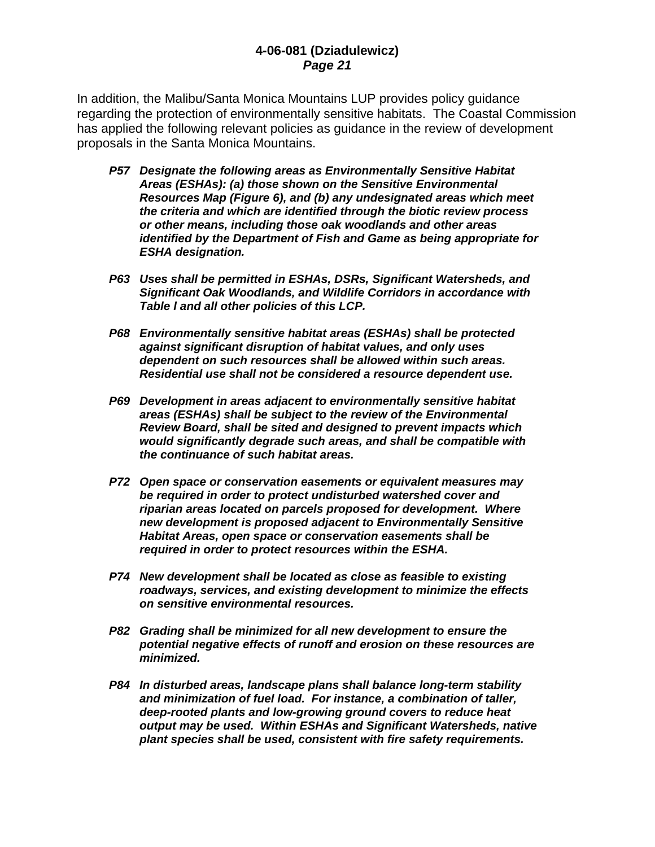In addition, the Malibu/Santa Monica Mountains LUP provides policy guidance regarding the protection of environmentally sensitive habitats. The Coastal Commission has applied the following relevant policies as guidance in the review of development proposals in the Santa Monica Mountains.

- *P57 Designate the following areas as Environmentally Sensitive Habitat Areas (ESHAs): (a) those shown on the Sensitive Environmental Resources Map (Figure 6), and (b) any undesignated areas which meet the criteria and which are identified through the biotic review process or other means, including those oak woodlands and other areas identified by the Department of Fish and Game as being appropriate for ESHA designation.*
- *P63 Uses shall be permitted in ESHAs, DSRs, Significant Watersheds, and Significant Oak Woodlands, and Wildlife Corridors in accordance with Table l and all other policies of this LCP.*
- *P68 Environmentally sensitive habitat areas (ESHAs) shall be protected against significant disruption of habitat values, and only uses dependent on such resources shall be allowed within such areas. Residential use shall not be considered a resource dependent use.*
- *P69 Development in areas adjacent to environmentally sensitive habitat areas (ESHAs) shall be subject to the review of the Environmental Review Board, shall be sited and designed to prevent impacts which would significantly degrade such areas, and shall be compatible with the continuance of such habitat areas.*
- *P72 Open space or conservation easements or equivalent measures may be required in order to protect undisturbed watershed cover and riparian areas located on parcels proposed for development. Where new development is proposed adjacent to Environmentally Sensitive Habitat Areas, open space or conservation easements shall be required in order to protect resources within the ESHA.*
- *P74 New development shall be located as close as feasible to existing roadways, services, and existing development to minimize the effects on sensitive environmental resources.*
- *P82 Grading shall be minimized for all new development to ensure the potential negative effects of runoff and erosion on these resources are minimized.*
- *P84 In disturbed areas, landscape plans shall balance long-term stability and minimization of fuel load. For instance, a combination of taller, deep-rooted plants and low-growing ground covers to reduce heat output may be used. Within ESHAs and Significant Watersheds, native plant species shall be used, consistent with fire safety requirements.*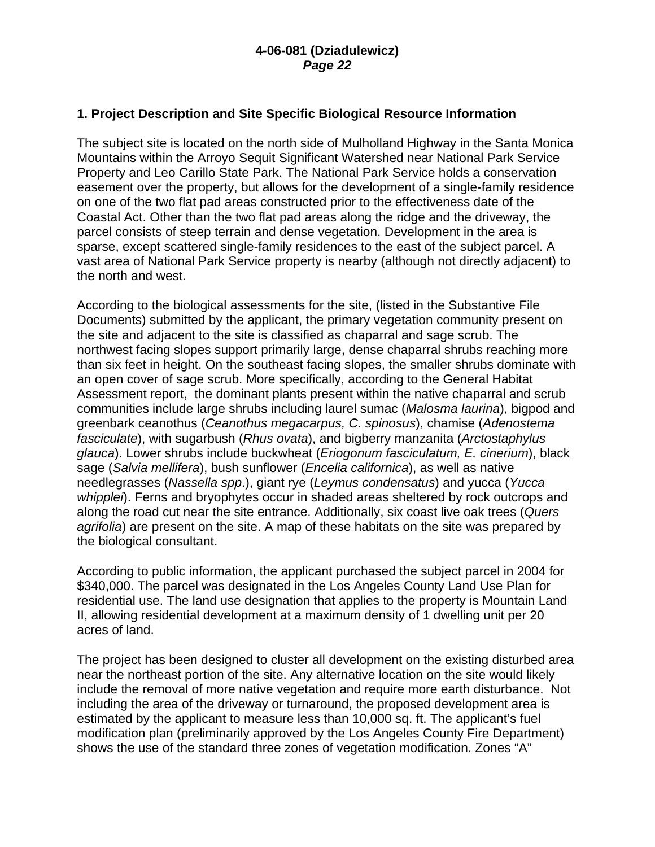# **1. Project Description and Site Specific Biological Resource Information**

The subject site is located on the north side of Mulholland Highway in the Santa Monica Mountains within the Arroyo Sequit Significant Watershed near National Park Service Property and Leo Carillo State Park. The National Park Service holds a conservation easement over the property, but allows for the development of a single-family residence on one of the two flat pad areas constructed prior to the effectiveness date of the Coastal Act. Other than the two flat pad areas along the ridge and the driveway, the parcel consists of steep terrain and dense vegetation. Development in the area is sparse, except scattered single-family residences to the east of the subject parcel. A vast area of National Park Service property is nearby (although not directly adjacent) to the north and west.

According to the biological assessments for the site, (listed in the Substantive File Documents) submitted by the applicant, the primary vegetation community present on the site and adjacent to the site is classified as chaparral and sage scrub. The northwest facing slopes support primarily large, dense chaparral shrubs reaching more than six feet in height. On the southeast facing slopes, the smaller shrubs dominate with an open cover of sage scrub. More specifically, according to the General Habitat Assessment report, the dominant plants present within the native chaparral and scrub communities include large shrubs including laurel sumac (*Malosma laurina*), bigpod and greenbark ceanothus (*Ceanothus megacarpus, C. spinosus*), chamise (*Adenostema fasciculate*), with sugarbush (*Rhus ovata*), and bigberry manzanita (*Arctostaphylus glauca*). Lower shrubs include buckwheat (*Eriogonum fasciculatum, E. cinerium*), black sage (*Salvia mellifera*), bush sunflower (*Encelia californica*), as well as native needlegrasses (*Nassella spp*.), giant rye (*Leymus condensatus*) and yucca (*Yucca whipplei*). Ferns and bryophytes occur in shaded areas sheltered by rock outcrops and along the road cut near the site entrance. Additionally, six coast live oak trees (*Quers agrifolia*) are present on the site. A map of these habitats on the site was prepared by the biological consultant.

According to public information, the applicant purchased the subject parcel in 2004 for \$340,000. The parcel was designated in the Los Angeles County Land Use Plan for residential use. The land use designation that applies to the property is Mountain Land II, allowing residential development at a maximum density of 1 dwelling unit per 20 acres of land.

The project has been designed to cluster all development on the existing disturbed area near the northeast portion of the site. Any alternative location on the site would likely include the removal of more native vegetation and require more earth disturbance. Not including the area of the driveway or turnaround, the proposed development area is estimated by the applicant to measure less than 10,000 sq. ft. The applicant's fuel modification plan (preliminarily approved by the Los Angeles County Fire Department) shows the use of the standard three zones of vegetation modification. Zones "A"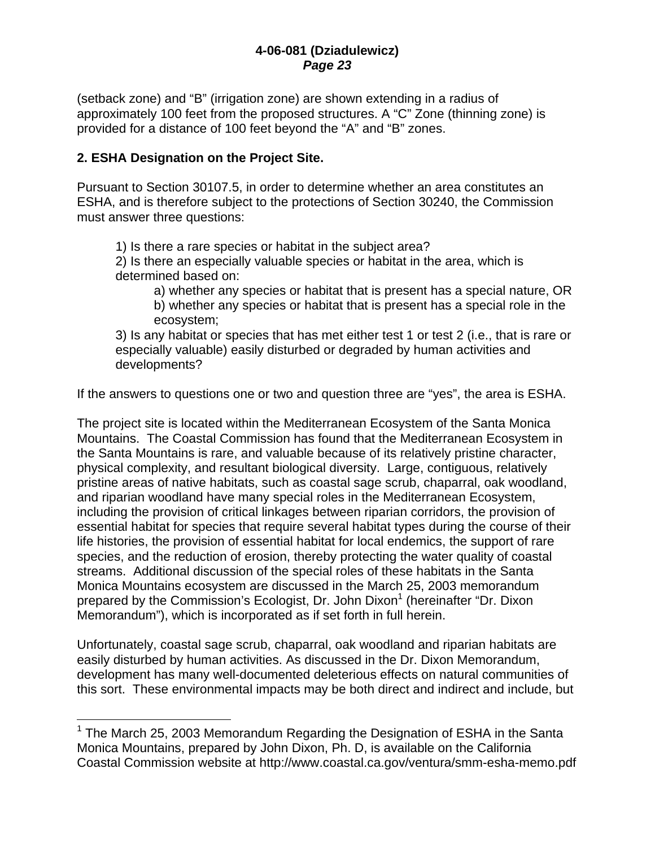(setback zone) and "B" (irrigation zone) are shown extending in a radius of approximately 100 feet from the proposed structures. A "C" Zone (thinning zone) is provided for a distance of 100 feet beyond the "A" and "B" zones.

# **2. ESHA Designation on the Project Site.**

 $\overline{a}$ 

Pursuant to Section 30107.5, in order to determine whether an area constitutes an ESHA, and is therefore subject to the protections of Section 30240, the Commission must answer three questions:

1) Is there a rare species or habitat in the subject area?

2) Is there an especially valuable species or habitat in the area, which is determined based on:

a) whether any species or habitat that is present has a special nature, OR b) whether any species or habitat that is present has a special role in the ecosystem;

3) Is any habitat or species that has met either test 1 or test 2 (i.e., that is rare or especially valuable) easily disturbed or degraded by human activities and developments?

If the answers to questions one or two and question three are "yes", the area is ESHA.

The project site is located within the Mediterranean Ecosystem of the Santa Monica Mountains. The Coastal Commission has found that the Mediterranean Ecosystem in the Santa Mountains is rare, and valuable because of its relatively pristine character, physical complexity, and resultant biological diversity. Large, contiguous, relatively pristine areas of native habitats, such as coastal sage scrub, chaparral, oak woodland, and riparian woodland have many special roles in the Mediterranean Ecosystem, including the provision of critical linkages between riparian corridors, the provision of essential habitat for species that require several habitat types during the course of their life histories, the provision of essential habitat for local endemics, the support of rare species, and the reduction of erosion, thereby protecting the water quality of coastal streams. Additional discussion of the special roles of these habitats in the Santa Monica Mountains ecosystem are discussed in the March 25, 2003 memorandum prepared by the Commission's Ecologist, Dr. John Dixon<sup>1</sup> (hereinafter "Dr. Dixon Memorandum"), which is incorporated as if set forth in full herein.

Unfortunately, coastal sage scrub, chaparral, oak woodland and riparian habitats are easily disturbed by human activities. As discussed in the Dr. Dixon Memorandum, development has many well-documented deleterious effects on natural communities of this sort. These environmental impacts may be both direct and indirect and include, but

<sup>&</sup>lt;sup>1</sup> The March 25, 2003 Memorandum Regarding the Designation of ESHA in the Santa Monica Mountains, prepared by John Dixon, Ph. D, is available on the California Coastal Commission website at http://www.coastal.ca.gov/ventura/smm-esha-memo.pdf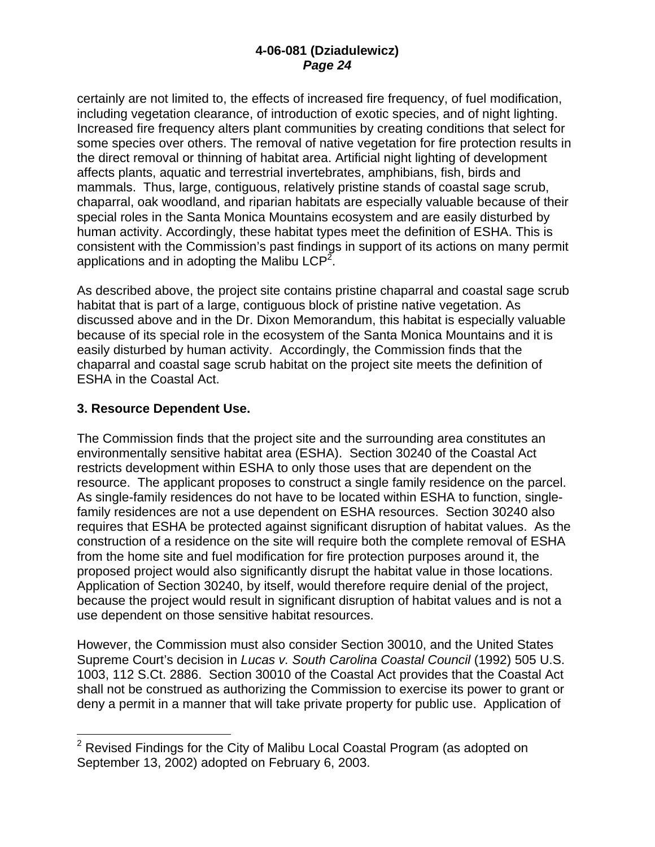certainly are not limited to, the effects of increased fire frequency, of fuel modification, including vegetation clearance, of introduction of exotic species, and of night lighting. Increased fire frequency alters plant communities by creating conditions that select for some species over others. The removal of native vegetation for fire protection results in the direct removal or thinning of habitat area. Artificial night lighting of development affects plants, aquatic and terrestrial invertebrates, amphibians, fish, birds and mammals. Thus, large, contiguous, relatively pristine stands of coastal sage scrub, chaparral, oak woodland, and riparian habitats are especially valuable because of their special roles in the Santa Monica Mountains ecosystem and are easily disturbed by human activity. Accordingly, these habitat types meet the definition of ESHA. This is consistent with the Commission's past findings in support of its actions on many permit applications and in adopting the Malibu LCP<sup>2</sup>.

As described above, the project site contains pristine chaparral and coastal sage scrub habitat that is part of a large, contiguous block of pristine native vegetation. As discussed above and in the Dr. Dixon Memorandum, this habitat is especially valuable because of its special role in the ecosystem of the Santa Monica Mountains and it is easily disturbed by human activity. Accordingly, the Commission finds that the chaparral and coastal sage scrub habitat on the project site meets the definition of ESHA in the Coastal Act.

# **3. Resource Dependent Use.**

 $\overline{a}$ 

The Commission finds that the project site and the surrounding area constitutes an environmentally sensitive habitat area (ESHA). Section 30240 of the Coastal Act restricts development within ESHA to only those uses that are dependent on the resource. The applicant proposes to construct a single family residence on the parcel. As single-family residences do not have to be located within ESHA to function, singlefamily residences are not a use dependent on ESHA resources. Section 30240 also requires that ESHA be protected against significant disruption of habitat values. As the construction of a residence on the site will require both the complete removal of ESHA from the home site and fuel modification for fire protection purposes around it, the proposed project would also significantly disrupt the habitat value in those locations. Application of Section 30240, by itself, would therefore require denial of the project, because the project would result in significant disruption of habitat values and is not a use dependent on those sensitive habitat resources.

However, the Commission must also consider Section 30010, and the United States Supreme Court's decision in *Lucas v. South Carolina Coastal Council* (1992) 505 U.S. 1003, 112 S.Ct. 2886. Section 30010 of the Coastal Act provides that the Coastal Act shall not be construed as authorizing the Commission to exercise its power to grant or deny a permit in a manner that will take private property for public use. Application of

 $2$  Revised Findings for the City of Malibu Local Coastal Program (as adopted on September 13, 2002) adopted on February 6, 2003.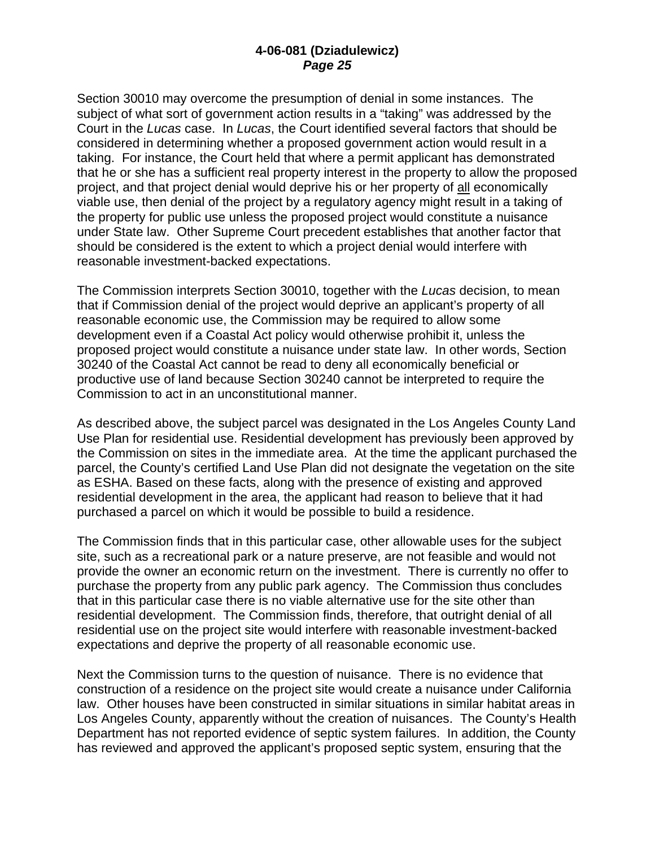Section 30010 may overcome the presumption of denial in some instances. The subject of what sort of government action results in a "taking" was addressed by the Court in the *Lucas* case. In *Lucas*, the Court identified several factors that should be considered in determining whether a proposed government action would result in a taking. For instance, the Court held that where a permit applicant has demonstrated that he or she has a sufficient real property interest in the property to allow the proposed project, and that project denial would deprive his or her property of all economically viable use, then denial of the project by a regulatory agency might result in a taking of the property for public use unless the proposed project would constitute a nuisance under State law. Other Supreme Court precedent establishes that another factor that should be considered is the extent to which a project denial would interfere with reasonable investment-backed expectations.

The Commission interprets Section 30010, together with the *Lucas* decision, to mean that if Commission denial of the project would deprive an applicant's property of all reasonable economic use, the Commission may be required to allow some development even if a Coastal Act policy would otherwise prohibit it, unless the proposed project would constitute a nuisance under state law. In other words, Section 30240 of the Coastal Act cannot be read to deny all economically beneficial or productive use of land because Section 30240 cannot be interpreted to require the Commission to act in an unconstitutional manner.

As described above, the subject parcel was designated in the Los Angeles County Land Use Plan for residential use. Residential development has previously been approved by the Commission on sites in the immediate area. At the time the applicant purchased the parcel, the County's certified Land Use Plan did not designate the vegetation on the site as ESHA. Based on these facts, along with the presence of existing and approved residential development in the area, the applicant had reason to believe that it had purchased a parcel on which it would be possible to build a residence.

The Commission finds that in this particular case, other allowable uses for the subject site, such as a recreational park or a nature preserve, are not feasible and would not provide the owner an economic return on the investment. There is currently no offer to purchase the property from any public park agency. The Commission thus concludes that in this particular case there is no viable alternative use for the site other than residential development. The Commission finds, therefore, that outright denial of all residential use on the project site would interfere with reasonable investment-backed expectations and deprive the property of all reasonable economic use.

Next the Commission turns to the question of nuisance. There is no evidence that construction of a residence on the project site would create a nuisance under California law. Other houses have been constructed in similar situations in similar habitat areas in Los Angeles County, apparently without the creation of nuisances. The County's Health Department has not reported evidence of septic system failures. In addition, the County has reviewed and approved the applicant's proposed septic system, ensuring that the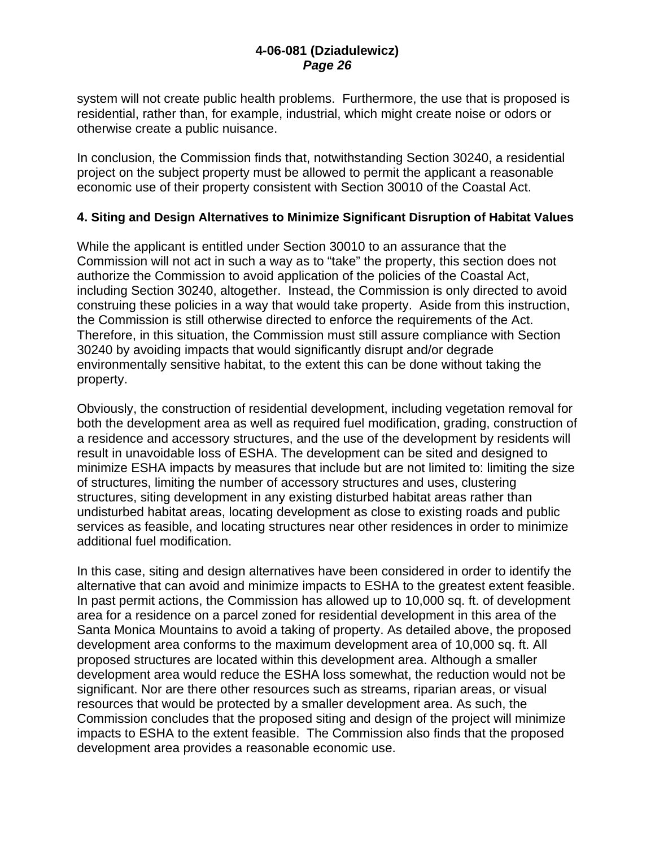system will not create public health problems. Furthermore, the use that is proposed is residential, rather than, for example, industrial, which might create noise or odors or otherwise create a public nuisance.

In conclusion, the Commission finds that, notwithstanding Section 30240, a residential project on the subject property must be allowed to permit the applicant a reasonable economic use of their property consistent with Section 30010 of the Coastal Act.

#### **4. Siting and Design Alternatives to Minimize Significant Disruption of Habitat Values**

While the applicant is entitled under Section 30010 to an assurance that the Commission will not act in such a way as to "take" the property, this section does not authorize the Commission to avoid application of the policies of the Coastal Act, including Section 30240, altogether. Instead, the Commission is only directed to avoid construing these policies in a way that would take property. Aside from this instruction, the Commission is still otherwise directed to enforce the requirements of the Act. Therefore, in this situation, the Commission must still assure compliance with Section 30240 by avoiding impacts that would significantly disrupt and/or degrade environmentally sensitive habitat, to the extent this can be done without taking the property.

Obviously, the construction of residential development, including vegetation removal for both the development area as well as required fuel modification, grading, construction of a residence and accessory structures, and the use of the development by residents will result in unavoidable loss of ESHA. The development can be sited and designed to minimize ESHA impacts by measures that include but are not limited to: limiting the size of structures, limiting the number of accessory structures and uses, clustering structures, siting development in any existing disturbed habitat areas rather than undisturbed habitat areas, locating development as close to existing roads and public services as feasible, and locating structures near other residences in order to minimize additional fuel modification.

In this case, siting and design alternatives have been considered in order to identify the alternative that can avoid and minimize impacts to ESHA to the greatest extent feasible. In past permit actions, the Commission has allowed up to 10,000 sq. ft. of development area for a residence on a parcel zoned for residential development in this area of the Santa Monica Mountains to avoid a taking of property. As detailed above, the proposed development area conforms to the maximum development area of 10,000 sq. ft. All proposed structures are located within this development area. Although a smaller development area would reduce the ESHA loss somewhat, the reduction would not be significant. Nor are there other resources such as streams, riparian areas, or visual resources that would be protected by a smaller development area. As such, the Commission concludes that the proposed siting and design of the project will minimize impacts to ESHA to the extent feasible. The Commission also finds that the proposed development area provides a reasonable economic use.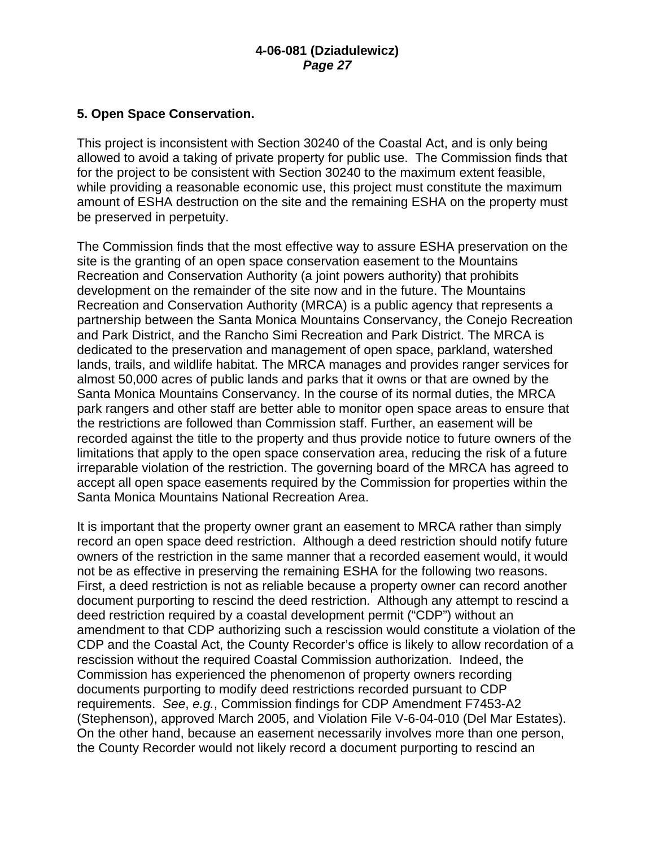# **5. Open Space Conservation.**

This project is inconsistent with Section 30240 of the Coastal Act, and is only being allowed to avoid a taking of private property for public use. The Commission finds that for the project to be consistent with Section 30240 to the maximum extent feasible, while providing a reasonable economic use, this project must constitute the maximum amount of ESHA destruction on the site and the remaining ESHA on the property must be preserved in perpetuity.

The Commission finds that the most effective way to assure ESHA preservation on the site is the granting of an open space conservation easement to the Mountains Recreation and Conservation Authority (a joint powers authority) that prohibits development on the remainder of the site now and in the future. The Mountains Recreation and Conservation Authority (MRCA) is a public agency that represents a partnership between the Santa Monica Mountains Conservancy, the Conejo Recreation and Park District, and the Rancho Simi Recreation and Park District. The MRCA is dedicated to the preservation and management of open space, parkland, watershed lands, trails, and wildlife habitat. The MRCA manages and provides ranger services for almost 50,000 acres of public lands and parks that it owns or that are owned by the Santa Monica Mountains Conservancy. In the course of its normal duties, the MRCA park rangers and other staff are better able to monitor open space areas to ensure that the restrictions are followed than Commission staff. Further, an easement will be recorded against the title to the property and thus provide notice to future owners of the limitations that apply to the open space conservation area, reducing the risk of a future irreparable violation of the restriction. The governing board of the MRCA has agreed to accept all open space easements required by the Commission for properties within the Santa Monica Mountains National Recreation Area.

It is important that the property owner grant an easement to MRCA rather than simply record an open space deed restriction. Although a deed restriction should notify future owners of the restriction in the same manner that a recorded easement would, it would not be as effective in preserving the remaining ESHA for the following two reasons. First, a deed restriction is not as reliable because a property owner can record another document purporting to rescind the deed restriction. Although any attempt to rescind a deed restriction required by a coastal development permit ("CDP") without an amendment to that CDP authorizing such a rescission would constitute a violation of the CDP and the Coastal Act, the County Recorder's office is likely to allow recordation of a rescission without the required Coastal Commission authorization. Indeed, the Commission has experienced the phenomenon of property owners recording documents purporting to modify deed restrictions recorded pursuant to CDP requirements. *See*, *e.g.*, Commission findings for CDP Amendment F7453-A2 (Stephenson), approved March 2005, and Violation File V-6-04-010 (Del Mar Estates). On the other hand, because an easement necessarily involves more than one person, the County Recorder would not likely record a document purporting to rescind an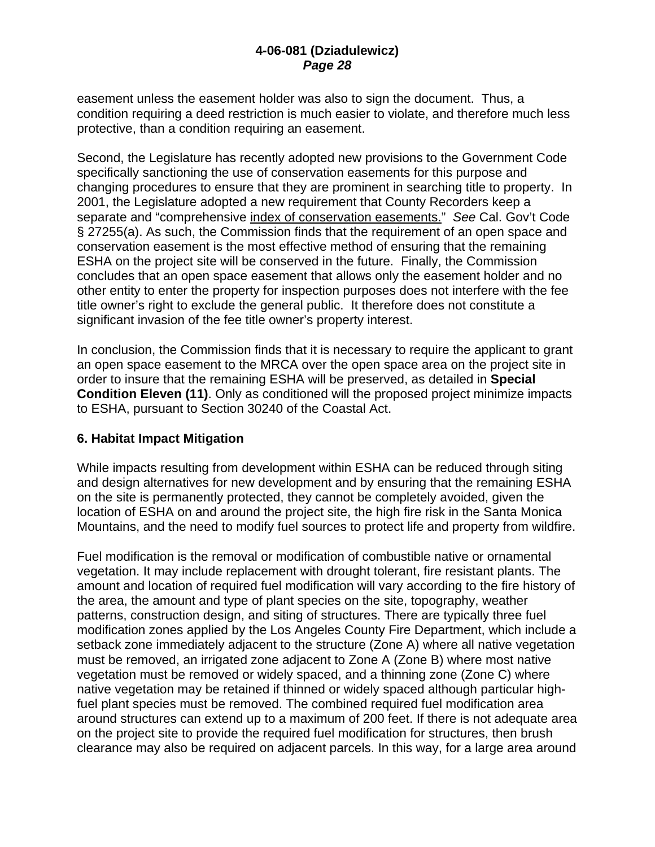easement unless the easement holder was also to sign the document. Thus, a condition requiring a deed restriction is much easier to violate, and therefore much less protective, than a condition requiring an easement.

Second, the Legislature has recently adopted new provisions to the Government Code specifically sanctioning the use of conservation easements for this purpose and changing procedures to ensure that they are prominent in searching title to property. In 2001, the Legislature adopted a new requirement that County Recorders keep a separate and "comprehensive index of conservation easements." *See* Cal. Gov't Code § 27255(a). As such, the Commission finds that the requirement of an open space and conservation easement is the most effective method of ensuring that the remaining ESHA on the project site will be conserved in the future. Finally, the Commission concludes that an open space easement that allows only the easement holder and no other entity to enter the property for inspection purposes does not interfere with the fee title owner's right to exclude the general public. It therefore does not constitute a significant invasion of the fee title owner's property interest.

In conclusion, the Commission finds that it is necessary to require the applicant to grant an open space easement to the MRCA over the open space area on the project site in order to insure that the remaining ESHA will be preserved, as detailed in **Special Condition Eleven (11)**. Only as conditioned will the proposed project minimize impacts to ESHA, pursuant to Section 30240 of the Coastal Act.

# **6. Habitat Impact Mitigation**

While impacts resulting from development within ESHA can be reduced through siting and design alternatives for new development and by ensuring that the remaining ESHA on the site is permanently protected, they cannot be completely avoided, given the location of ESHA on and around the project site, the high fire risk in the Santa Monica Mountains, and the need to modify fuel sources to protect life and property from wildfire.

Fuel modification is the removal or modification of combustible native or ornamental vegetation. It may include replacement with drought tolerant, fire resistant plants. The amount and location of required fuel modification will vary according to the fire history of the area, the amount and type of plant species on the site, topography, weather patterns, construction design, and siting of structures. There are typically three fuel modification zones applied by the Los Angeles County Fire Department, which include a setback zone immediately adjacent to the structure (Zone A) where all native vegetation must be removed, an irrigated zone adjacent to Zone A (Zone B) where most native vegetation must be removed or widely spaced, and a thinning zone (Zone C) where native vegetation may be retained if thinned or widely spaced although particular highfuel plant species must be removed. The combined required fuel modification area around structures can extend up to a maximum of 200 feet. If there is not adequate area on the project site to provide the required fuel modification for structures, then brush clearance may also be required on adjacent parcels. In this way, for a large area around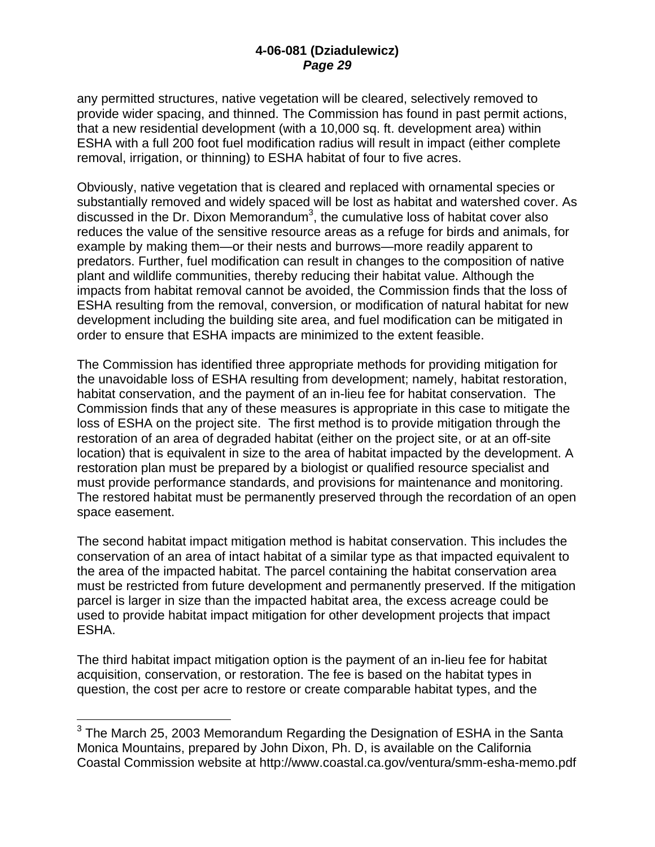any permitted structures, native vegetation will be cleared, selectively removed to provide wider spacing, and thinned. The Commission has found in past permit actions, that a new residential development (with a 10,000 sq. ft. development area) within ESHA with a full 200 foot fuel modification radius will result in impact (either complete removal, irrigation, or thinning) to ESHA habitat of four to five acres.

Obviously, native vegetation that is cleared and replaced with ornamental species or substantially removed and widely spaced will be lost as habitat and watershed cover. As discussed in the Dr. Dixon Memorandum<sup>3</sup>, the cumulative loss of habitat cover also reduces the value of the sensitive resource areas as a refuge for birds and animals, for example by making them—or their nests and burrows—more readily apparent to predators. Further, fuel modification can result in changes to the composition of native plant and wildlife communities, thereby reducing their habitat value. Although the impacts from habitat removal cannot be avoided, the Commission finds that the loss of ESHA resulting from the removal, conversion, or modification of natural habitat for new development including the building site area, and fuel modification can be mitigated in order to ensure that ESHA impacts are minimized to the extent feasible.

The Commission has identified three appropriate methods for providing mitigation for the unavoidable loss of ESHA resulting from development; namely, habitat restoration, habitat conservation, and the payment of an in-lieu fee for habitat conservation. The Commission finds that any of these measures is appropriate in this case to mitigate the loss of ESHA on the project site. The first method is to provide mitigation through the restoration of an area of degraded habitat (either on the project site, or at an off-site location) that is equivalent in size to the area of habitat impacted by the development. A restoration plan must be prepared by a biologist or qualified resource specialist and must provide performance standards, and provisions for maintenance and monitoring. The restored habitat must be permanently preserved through the recordation of an open space easement.

The second habitat impact mitigation method is habitat conservation. This includes the conservation of an area of intact habitat of a similar type as that impacted equivalent to the area of the impacted habitat. The parcel containing the habitat conservation area must be restricted from future development and permanently preserved. If the mitigation parcel is larger in size than the impacted habitat area, the excess acreage could be used to provide habitat impact mitigation for other development projects that impact ESHA.

The third habitat impact mitigation option is the payment of an in-lieu fee for habitat acquisition, conservation, or restoration. The fee is based on the habitat types in question, the cost per acre to restore or create comparable habitat types, and the

1

 $3$  The March 25, 2003 Memorandum Regarding the Designation of ESHA in the Santa Monica Mountains, prepared by John Dixon, Ph. D, is available on the California Coastal Commission website at http://www.coastal.ca.gov/ventura/smm-esha-memo.pdf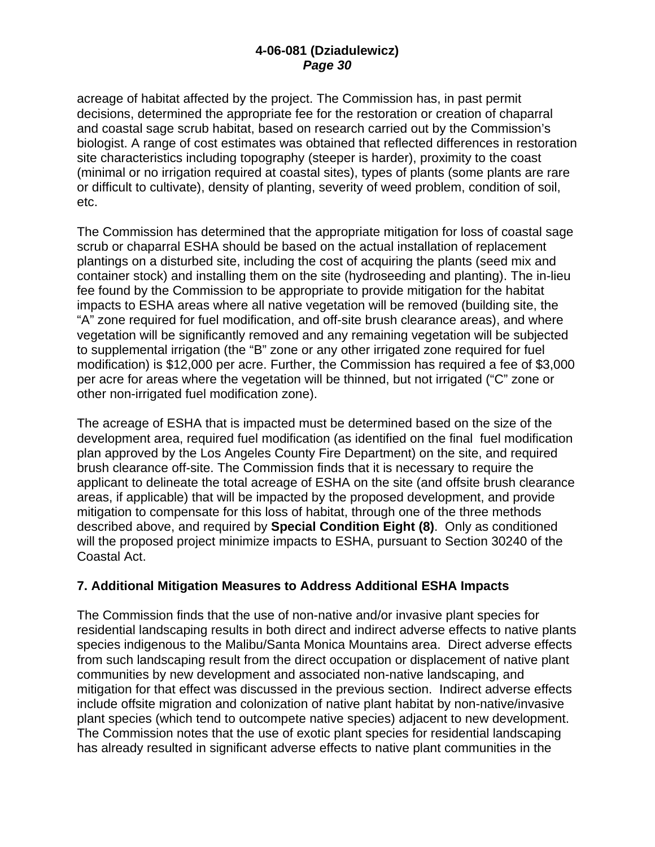acreage of habitat affected by the project. The Commission has, in past permit decisions, determined the appropriate fee for the restoration or creation of chaparral and coastal sage scrub habitat, based on research carried out by the Commission's biologist. A range of cost estimates was obtained that reflected differences in restoration site characteristics including topography (steeper is harder), proximity to the coast (minimal or no irrigation required at coastal sites), types of plants (some plants are rare or difficult to cultivate), density of planting, severity of weed problem, condition of soil, etc.

The Commission has determined that the appropriate mitigation for loss of coastal sage scrub or chaparral ESHA should be based on the actual installation of replacement plantings on a disturbed site, including the cost of acquiring the plants (seed mix and container stock) and installing them on the site (hydroseeding and planting). The in-lieu fee found by the Commission to be appropriate to provide mitigation for the habitat impacts to ESHA areas where all native vegetation will be removed (building site, the "A" zone required for fuel modification, and off-site brush clearance areas), and where vegetation will be significantly removed and any remaining vegetation will be subjected to supplemental irrigation (the "B" zone or any other irrigated zone required for fuel modification) is \$12,000 per acre. Further, the Commission has required a fee of \$3,000 per acre for areas where the vegetation will be thinned, but not irrigated ("C" zone or other non-irrigated fuel modification zone).

The acreage of ESHA that is impacted must be determined based on the size of the development area, required fuel modification (as identified on the final fuel modification plan approved by the Los Angeles County Fire Department) on the site, and required brush clearance off-site. The Commission finds that it is necessary to require the applicant to delineate the total acreage of ESHA on the site (and offsite brush clearance areas, if applicable) that will be impacted by the proposed development, and provide mitigation to compensate for this loss of habitat, through one of the three methods described above, and required by **Special Condition Eight (8)**. Only as conditioned will the proposed project minimize impacts to ESHA, pursuant to Section 30240 of the Coastal Act.

# **7. Additional Mitigation Measures to Address Additional ESHA Impacts**

The Commission finds that the use of non-native and/or invasive plant species for residential landscaping results in both direct and indirect adverse effects to native plants species indigenous to the Malibu/Santa Monica Mountains area. Direct adverse effects from such landscaping result from the direct occupation or displacement of native plant communities by new development and associated non-native landscaping, and mitigation for that effect was discussed in the previous section. Indirect adverse effects include offsite migration and colonization of native plant habitat by non-native/invasive plant species (which tend to outcompete native species) adjacent to new development. The Commission notes that the use of exotic plant species for residential landscaping has already resulted in significant adverse effects to native plant communities in the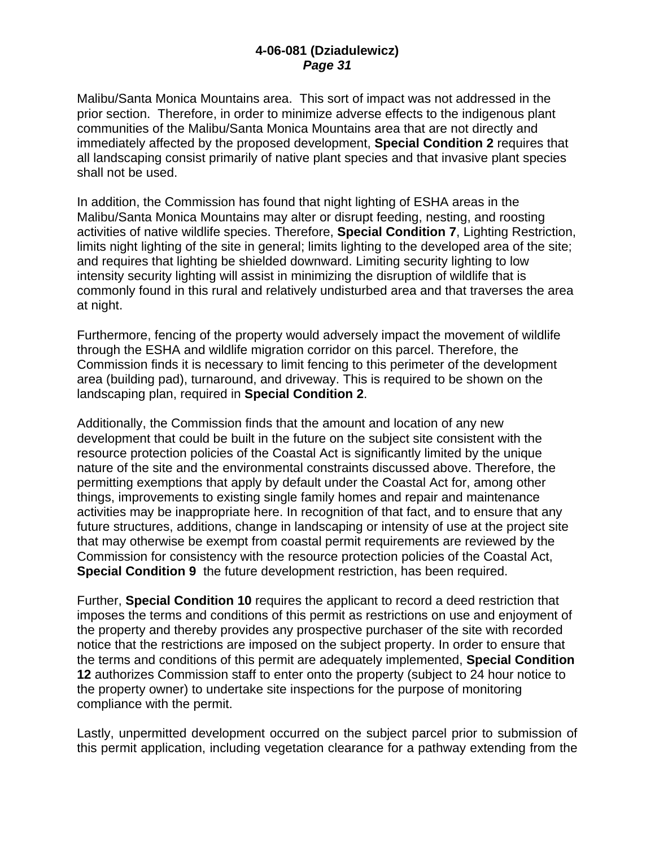Malibu/Santa Monica Mountains area. This sort of impact was not addressed in the prior section. Therefore, in order to minimize adverse effects to the indigenous plant communities of the Malibu/Santa Monica Mountains area that are not directly and immediately affected by the proposed development, **Special Condition 2** requires that all landscaping consist primarily of native plant species and that invasive plant species shall not be used.

In addition, the Commission has found that night lighting of ESHA areas in the Malibu/Santa Monica Mountains may alter or disrupt feeding, nesting, and roosting activities of native wildlife species. Therefore, **Special Condition 7**, Lighting Restriction, limits night lighting of the site in general; limits lighting to the developed area of the site; and requires that lighting be shielded downward. Limiting security lighting to low intensity security lighting will assist in minimizing the disruption of wildlife that is commonly found in this rural and relatively undisturbed area and that traverses the area at night.

Furthermore, fencing of the property would adversely impact the movement of wildlife through the ESHA and wildlife migration corridor on this parcel. Therefore, the Commission finds it is necessary to limit fencing to this perimeter of the development area (building pad), turnaround, and driveway. This is required to be shown on the landscaping plan, required in **Special Condition 2**.

Additionally, the Commission finds that the amount and location of any new development that could be built in the future on the subject site consistent with the resource protection policies of the Coastal Act is significantly limited by the unique nature of the site and the environmental constraints discussed above. Therefore, the permitting exemptions that apply by default under the Coastal Act for, among other things, improvements to existing single family homes and repair and maintenance activities may be inappropriate here. In recognition of that fact, and to ensure that any future structures, additions, change in landscaping or intensity of use at the project site that may otherwise be exempt from coastal permit requirements are reviewed by the Commission for consistency with the resource protection policies of the Coastal Act, **Special Condition 9** the future development restriction, has been required.

Further, **Special Condition 10** requires the applicant to record a deed restriction that imposes the terms and conditions of this permit as restrictions on use and enjoyment of the property and thereby provides any prospective purchaser of the site with recorded notice that the restrictions are imposed on the subject property. In order to ensure that the terms and conditions of this permit are adequately implemented, **Special Condition 12** authorizes Commission staff to enter onto the property (subject to 24 hour notice to the property owner) to undertake site inspections for the purpose of monitoring compliance with the permit.

Lastly, unpermitted development occurred on the subject parcel prior to submission of this permit application, including vegetation clearance for a pathway extending from the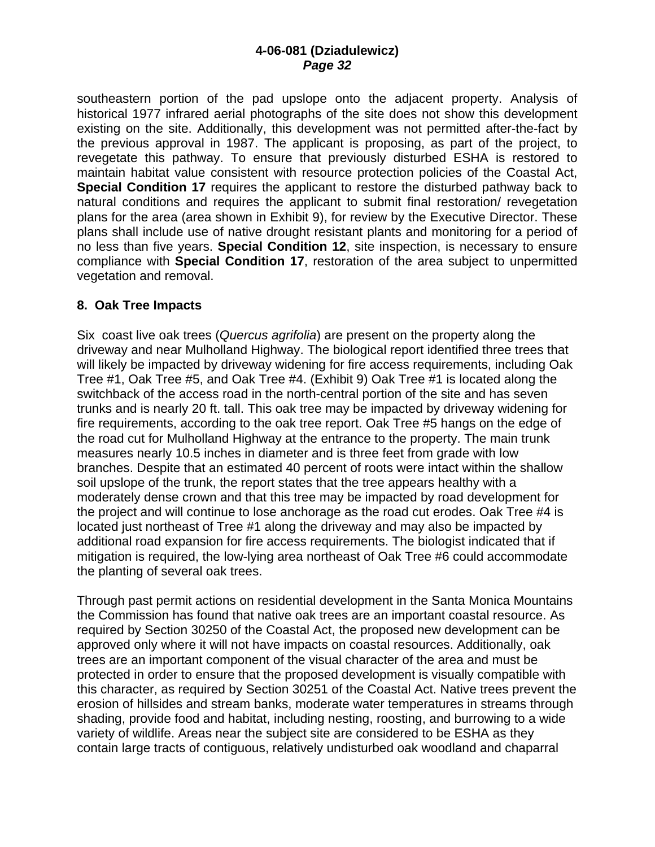southeastern portion of the pad upslope onto the adjacent property. Analysis of historical 1977 infrared aerial photographs of the site does not show this development existing on the site. Additionally, this development was not permitted after-the-fact by the previous approval in 1987. The applicant is proposing, as part of the project, to revegetate this pathway. To ensure that previously disturbed ESHA is restored to maintain habitat value consistent with resource protection policies of the Coastal Act, **Special Condition 17** requires the applicant to restore the disturbed pathway back to natural conditions and requires the applicant to submit final restoration/ revegetation plans for the area (area shown in Exhibit 9), for review by the Executive Director. These plans shall include use of native drought resistant plants and monitoring for a period of no less than five years. **Special Condition 12**, site inspection, is necessary to ensure compliance with **Special Condition 17**, restoration of the area subject to unpermitted vegetation and removal.

#### **8. Oak Tree Impacts**

Six coast live oak trees (*Quercus agrifolia*) are present on the property along the driveway and near Mulholland Highway. The biological report identified three trees that will likely be impacted by driveway widening for fire access requirements, including Oak Tree #1, Oak Tree #5, and Oak Tree #4. (Exhibit 9) Oak Tree #1 is located along the switchback of the access road in the north-central portion of the site and has seven trunks and is nearly 20 ft. tall. This oak tree may be impacted by driveway widening for fire requirements, according to the oak tree report. Oak Tree #5 hangs on the edge of the road cut for Mulholland Highway at the entrance to the property. The main trunk measures nearly 10.5 inches in diameter and is three feet from grade with low branches. Despite that an estimated 40 percent of roots were intact within the shallow soil upslope of the trunk, the report states that the tree appears healthy with a moderately dense crown and that this tree may be impacted by road development for the project and will continue to lose anchorage as the road cut erodes. Oak Tree #4 is located just northeast of Tree #1 along the driveway and may also be impacted by additional road expansion for fire access requirements. The biologist indicated that if mitigation is required, the low-lying area northeast of Oak Tree #6 could accommodate the planting of several oak trees.

Through past permit actions on residential development in the Santa Monica Mountains the Commission has found that native oak trees are an important coastal resource. As required by Section 30250 of the Coastal Act, the proposed new development can be approved only where it will not have impacts on coastal resources. Additionally, oak trees are an important component of the visual character of the area and must be protected in order to ensure that the proposed development is visually compatible with this character, as required by Section 30251 of the Coastal Act. Native trees prevent the erosion of hillsides and stream banks, moderate water temperatures in streams through shading, provide food and habitat, including nesting, roosting, and burrowing to a wide variety of wildlife. Areas near the subject site are considered to be ESHA as they contain large tracts of contiguous, relatively undisturbed oak woodland and chaparral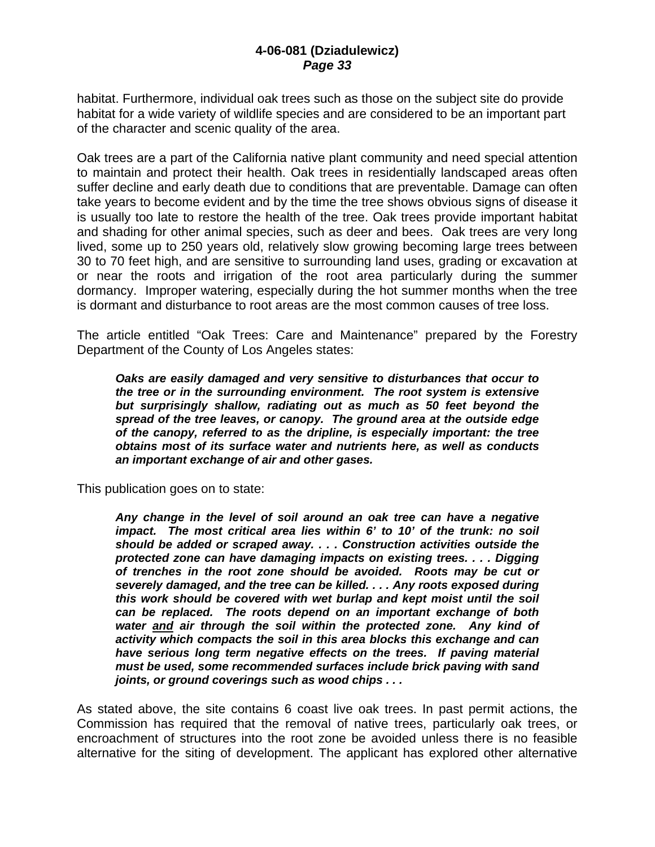habitat. Furthermore, individual oak trees such as those on the subject site do provide habitat for a wide variety of wildlife species and are considered to be an important part of the character and scenic quality of the area.

Oak trees are a part of the California native plant community and need special attention to maintain and protect their health. Oak trees in residentially landscaped areas often suffer decline and early death due to conditions that are preventable. Damage can often take years to become evident and by the time the tree shows obvious signs of disease it is usually too late to restore the health of the tree. Oak trees provide important habitat and shading for other animal species, such as deer and bees. Oak trees are very long lived, some up to 250 years old, relatively slow growing becoming large trees between 30 to 70 feet high, and are sensitive to surrounding land uses, grading or excavation at or near the roots and irrigation of the root area particularly during the summer dormancy. Improper watering, especially during the hot summer months when the tree is dormant and disturbance to root areas are the most common causes of tree loss.

The article entitled "Oak Trees: Care and Maintenance" prepared by the Forestry Department of the County of Los Angeles states:

*Oaks are easily damaged and very sensitive to disturbances that occur to the tree or in the surrounding environment. The root system is extensive but surprisingly shallow, radiating out as much as 50 feet beyond the spread of the tree leaves, or canopy. The ground area at the outside edge of the canopy, referred to as the dripline, is especially important: the tree obtains most of its surface water and nutrients here, as well as conducts an important exchange of air and other gases.* 

This publication goes on to state:

*Any change in the level of soil around an oak tree can have a negative impact. The most critical area lies within 6' to 10' of the trunk: no soil should be added or scraped away. . . . Construction activities outside the protected zone can have damaging impacts on existing trees. . . . Digging of trenches in the root zone should be avoided. Roots may be cut or severely damaged, and the tree can be killed. . . . Any roots exposed during this work should be covered with wet burlap and kept moist until the soil can be replaced. The roots depend on an important exchange of both water and air through the soil within the protected zone. Any kind of activity which compacts the soil in this area blocks this exchange and can have serious long term negative effects on the trees. If paving material must be used, some recommended surfaces include brick paving with sand joints, or ground coverings such as wood chips . . .* 

As stated above, the site contains 6 coast live oak trees. In past permit actions, the Commission has required that the removal of native trees, particularly oak trees, or encroachment of structures into the root zone be avoided unless there is no feasible alternative for the siting of development. The applicant has explored other alternative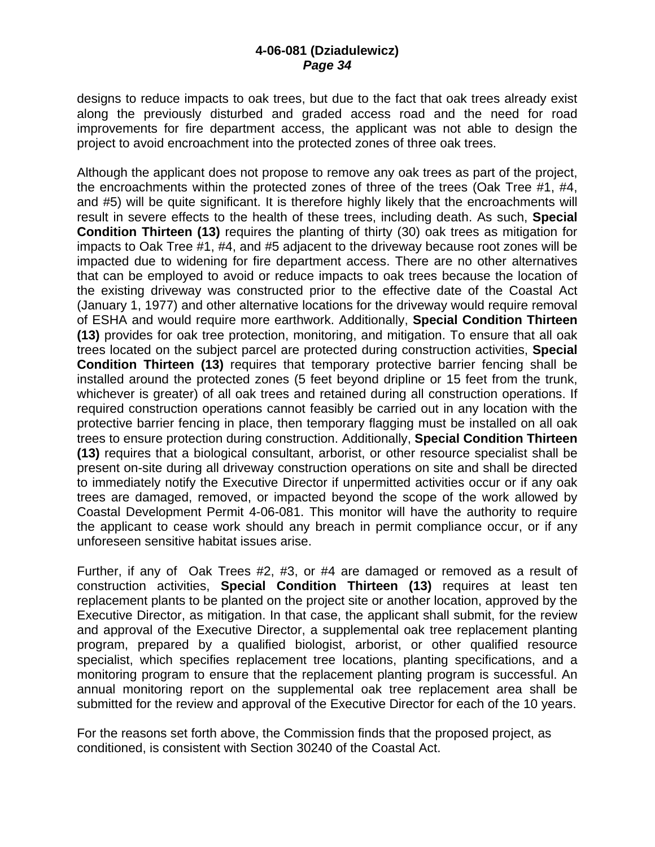designs to reduce impacts to oak trees, but due to the fact that oak trees already exist along the previously disturbed and graded access road and the need for road improvements for fire department access, the applicant was not able to design the project to avoid encroachment into the protected zones of three oak trees.

Although the applicant does not propose to remove any oak trees as part of the project, the encroachments within the protected zones of three of the trees (Oak Tree #1, #4, and #5) will be quite significant. It is therefore highly likely that the encroachments will result in severe effects to the health of these trees, including death. As such, **Special Condition Thirteen (13)** requires the planting of thirty (30) oak trees as mitigation for impacts to Oak Tree #1, #4, and #5 adjacent to the driveway because root zones will be impacted due to widening for fire department access. There are no other alternatives that can be employed to avoid or reduce impacts to oak trees because the location of the existing driveway was constructed prior to the effective date of the Coastal Act (January 1, 1977) and other alternative locations for the driveway would require removal of ESHA and would require more earthwork. Additionally, **Special Condition Thirteen (13)** provides for oak tree protection, monitoring, and mitigation. To ensure that all oak trees located on the subject parcel are protected during construction activities, **Special Condition Thirteen (13)** requires that temporary protective barrier fencing shall be installed around the protected zones (5 feet beyond dripline or 15 feet from the trunk, whichever is greater) of all oak trees and retained during all construction operations. If required construction operations cannot feasibly be carried out in any location with the protective barrier fencing in place, then temporary flagging must be installed on all oak trees to ensure protection during construction. Additionally, **Special Condition Thirteen (13)** requires that a biological consultant, arborist, or other resource specialist shall be present on-site during all driveway construction operations on site and shall be directed to immediately notify the Executive Director if unpermitted activities occur or if any oak trees are damaged, removed, or impacted beyond the scope of the work allowed by Coastal Development Permit 4-06-081. This monitor will have the authority to require the applicant to cease work should any breach in permit compliance occur, or if any unforeseen sensitive habitat issues arise.

Further, if any of Oak Trees #2, #3, or #4 are damaged or removed as a result of construction activities, **Special Condition Thirteen (13)** requires at least ten replacement plants to be planted on the project site or another location, approved by the Executive Director, as mitigation. In that case, the applicant shall submit, for the review and approval of the Executive Director, a supplemental oak tree replacement planting program, prepared by a qualified biologist, arborist, or other qualified resource specialist, which specifies replacement tree locations, planting specifications, and a monitoring program to ensure that the replacement planting program is successful. An annual monitoring report on the supplemental oak tree replacement area shall be submitted for the review and approval of the Executive Director for each of the 10 years.

For the reasons set forth above, the Commission finds that the proposed project, as conditioned, is consistent with Section 30240 of the Coastal Act.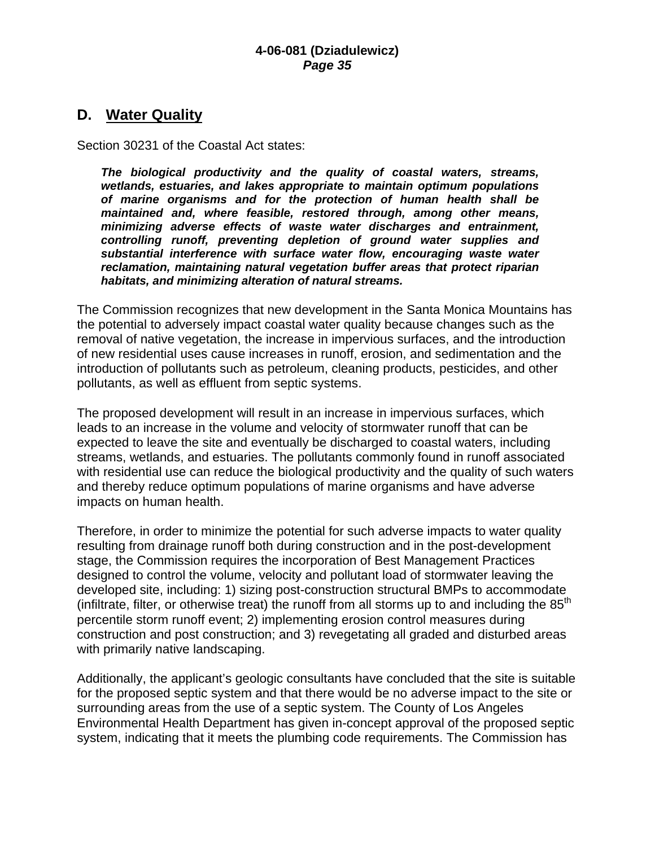# **D. Water Quality**

Section 30231 of the Coastal Act states:

*The biological productivity and the quality of coastal waters, streams, wetlands, estuaries, and lakes appropriate to maintain optimum populations of marine organisms and for the protection of human health shall be maintained and, where feasible, restored through, among other means, minimizing adverse effects of waste water discharges and entrainment, controlling runoff, preventing depletion of ground water supplies and substantial interference with surface water flow, encouraging waste water reclamation, maintaining natural vegetation buffer areas that protect riparian habitats, and minimizing alteration of natural streams.* 

The Commission recognizes that new development in the Santa Monica Mountains has the potential to adversely impact coastal water quality because changes such as the removal of native vegetation, the increase in impervious surfaces, and the introduction of new residential uses cause increases in runoff, erosion, and sedimentation and the introduction of pollutants such as petroleum, cleaning products, pesticides, and other pollutants, as well as effluent from septic systems.

The proposed development will result in an increase in impervious surfaces, which leads to an increase in the volume and velocity of stormwater runoff that can be expected to leave the site and eventually be discharged to coastal waters, including streams, wetlands, and estuaries. The pollutants commonly found in runoff associated with residential use can reduce the biological productivity and the quality of such waters and thereby reduce optimum populations of marine organisms and have adverse impacts on human health.

Therefore, in order to minimize the potential for such adverse impacts to water quality resulting from drainage runoff both during construction and in the post-development stage, the Commission requires the incorporation of Best Management Practices designed to control the volume, velocity and pollutant load of stormwater leaving the developed site, including: 1) sizing post-construction structural BMPs to accommodate (infiltrate, filter, or otherwise treat) the runoff from all storms up to and including the  $85<sup>th</sup>$ percentile storm runoff event; 2) implementing erosion control measures during construction and post construction; and 3) revegetating all graded and disturbed areas with primarily native landscaping.

Additionally, the applicant's geologic consultants have concluded that the site is suitable for the proposed septic system and that there would be no adverse impact to the site or surrounding areas from the use of a septic system. The County of Los Angeles Environmental Health Department has given in-concept approval of the proposed septic system, indicating that it meets the plumbing code requirements. The Commission has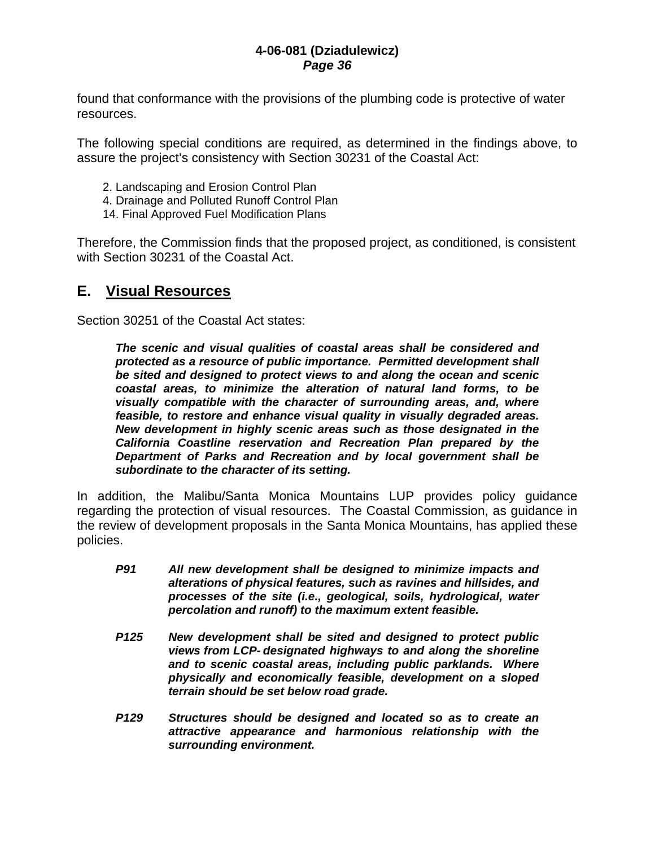found that conformance with the provisions of the plumbing code is protective of water resources.

The following special conditions are required, as determined in the findings above, to assure the project's consistency with Section 30231 of the Coastal Act:

- 2. Landscaping and Erosion Control Plan
- 4. Drainage and Polluted Runoff Control Plan
- 14. Final Approved Fuel Modification Plans

Therefore, the Commission finds that the proposed project, as conditioned, is consistent with Section 30231 of the Coastal Act.

# **E. Visual Resources**

Section 30251 of the Coastal Act states:

*The scenic and visual qualities of coastal areas shall be considered and protected as a resource of public importance. Permitted development shall be sited and designed to protect views to and along the ocean and scenic coastal areas, to minimize the alteration of natural land forms, to be visually compatible with the character of surrounding areas, and, where feasible, to restore and enhance visual quality in visually degraded areas. New development in highly scenic areas such as those designated in the California Coastline reservation and Recreation Plan prepared by the Department of Parks and Recreation and by local government shall be subordinate to the character of its setting.* 

In addition, the Malibu/Santa Monica Mountains LUP provides policy guidance regarding the protection of visual resources. The Coastal Commission, as guidance in the review of development proposals in the Santa Monica Mountains, has applied these policies.

- *P91 All new development shall be designed to minimize impacts and alterations of physical features, such as ravines and hillsides, and processes of the site (i.e., geological, soils, hydrological, water percolation and runoff) to the maximum extent feasible.*
- *P125 New development shall be sited and designed to protect public views from LCP- designated highways to and along the shoreline and to scenic coastal areas, including public parklands. Where physically and economically feasible, development on a sloped terrain should be set below road grade.*
- *P129 Structures should be designed and located so as to create an attractive appearance and harmonious relationship with the surrounding environment.*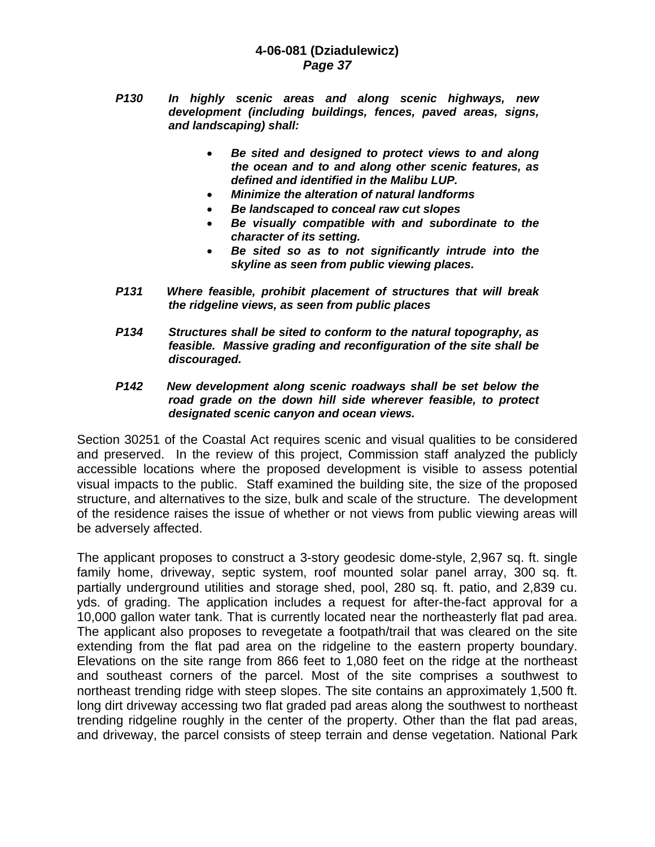- *P130 In highly scenic areas and along scenic highways, new development (including buildings, fences, paved areas, signs, and landscaping) shall:* 
	- *Be sited and designed to protect views to and along the ocean and to and along other scenic features, as defined and identified in the Malibu LUP.*
	- *Minimize the alteration of natural landforms*
	- *Be landscaped to conceal raw cut slopes*
	- *Be visually compatible with and subordinate to the character of its setting.*
	- *Be sited so as to not significantly intrude into the skyline as seen from public viewing places.*
- *P131 Where feasible, prohibit placement of structures that will break the ridgeline views, as seen from public places*
- *P134 Structures shall be sited to conform to the natural topography, as feasible. Massive grading and reconfiguration of the site shall be discouraged.*
- *P142 New development along scenic roadways shall be set below the road grade on the down hill side wherever feasible, to protect designated scenic canyon and ocean views.*

Section 30251 of the Coastal Act requires scenic and visual qualities to be considered and preserved. In the review of this project, Commission staff analyzed the publicly accessible locations where the proposed development is visible to assess potential visual impacts to the public. Staff examined the building site, the size of the proposed structure, and alternatives to the size, bulk and scale of the structure. The development of the residence raises the issue of whether or not views from public viewing areas will be adversely affected.

The applicant proposes to construct a 3-story geodesic dome-style, 2,967 sq. ft. single family home, driveway, septic system, roof mounted solar panel array, 300 sq. ft. partially underground utilities and storage shed, pool, 280 sq. ft. patio, and 2,839 cu. yds. of grading. The application includes a request for after-the-fact approval for a 10,000 gallon water tank. That is currently located near the northeasterly flat pad area. The applicant also proposes to revegetate a footpath/trail that was cleared on the site extending from the flat pad area on the ridgeline to the eastern property boundary. Elevations on the site range from 866 feet to 1,080 feet on the ridge at the northeast and southeast corners of the parcel. Most of the site comprises a southwest to northeast trending ridge with steep slopes. The site contains an approximately 1,500 ft. long dirt driveway accessing two flat graded pad areas along the southwest to northeast trending ridgeline roughly in the center of the property. Other than the flat pad areas, and driveway, the parcel consists of steep terrain and dense vegetation. National Park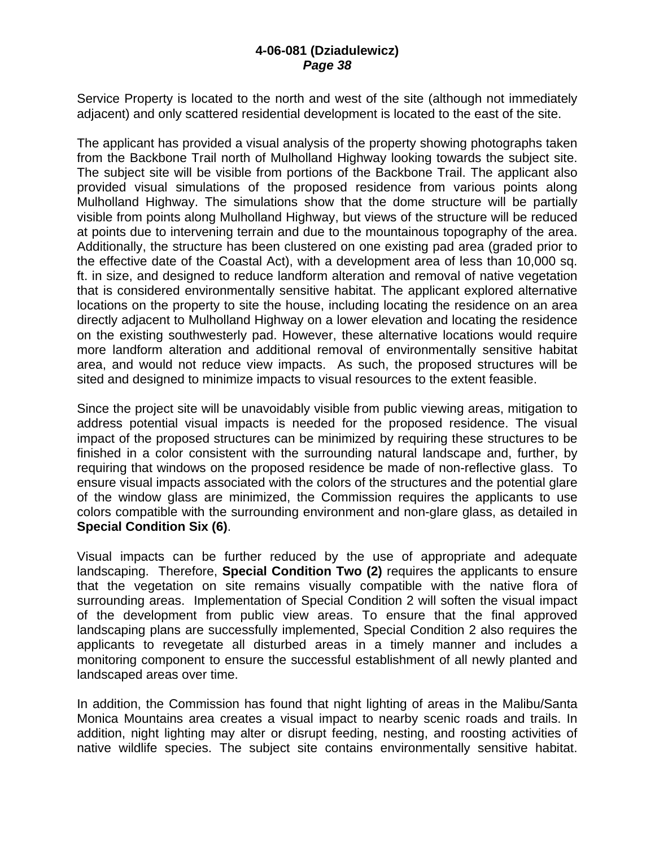Service Property is located to the north and west of the site (although not immediately adjacent) and only scattered residential development is located to the east of the site.

The applicant has provided a visual analysis of the property showing photographs taken from the Backbone Trail north of Mulholland Highway looking towards the subject site. The subject site will be visible from portions of the Backbone Trail. The applicant also provided visual simulations of the proposed residence from various points along Mulholland Highway. The simulations show that the dome structure will be partially visible from points along Mulholland Highway, but views of the structure will be reduced at points due to intervening terrain and due to the mountainous topography of the area. Additionally, the structure has been clustered on one existing pad area (graded prior to the effective date of the Coastal Act), with a development area of less than 10,000 sq. ft. in size, and designed to reduce landform alteration and removal of native vegetation that is considered environmentally sensitive habitat. The applicant explored alternative locations on the property to site the house, including locating the residence on an area directly adjacent to Mulholland Highway on a lower elevation and locating the residence on the existing southwesterly pad. However, these alternative locations would require more landform alteration and additional removal of environmentally sensitive habitat area, and would not reduce view impacts. As such, the proposed structures will be sited and designed to minimize impacts to visual resources to the extent feasible.

Since the project site will be unavoidably visible from public viewing areas, mitigation to address potential visual impacts is needed for the proposed residence. The visual impact of the proposed structures can be minimized by requiring these structures to be finished in a color consistent with the surrounding natural landscape and, further, by requiring that windows on the proposed residence be made of non-reflective glass. To ensure visual impacts associated with the colors of the structures and the potential glare of the window glass are minimized, the Commission requires the applicants to use colors compatible with the surrounding environment and non-glare glass, as detailed in **Special Condition Six (6)**.

Visual impacts can be further reduced by the use of appropriate and adequate landscaping. Therefore, **Special Condition Two (2)** requires the applicants to ensure that the vegetation on site remains visually compatible with the native flora of surrounding areas. Implementation of Special Condition 2 will soften the visual impact of the development from public view areas. To ensure that the final approved landscaping plans are successfully implemented, Special Condition 2 also requires the applicants to revegetate all disturbed areas in a timely manner and includes a monitoring component to ensure the successful establishment of all newly planted and landscaped areas over time.

In addition, the Commission has found that night lighting of areas in the Malibu/Santa Monica Mountains area creates a visual impact to nearby scenic roads and trails. In addition, night lighting may alter or disrupt feeding, nesting, and roosting activities of native wildlife species. The subject site contains environmentally sensitive habitat.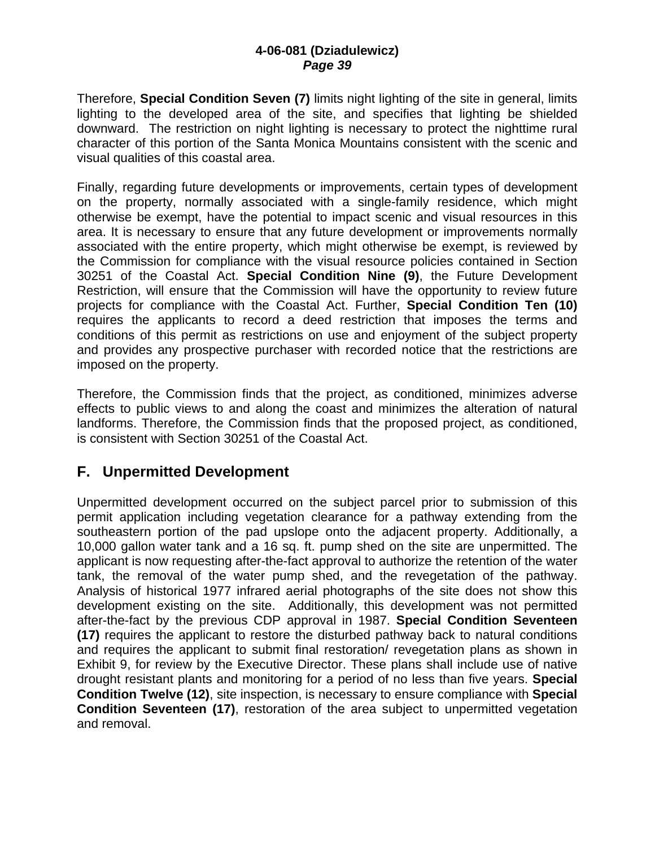Therefore, **Special Condition Seven (7)** limits night lighting of the site in general, limits lighting to the developed area of the site, and specifies that lighting be shielded downward. The restriction on night lighting is necessary to protect the nighttime rural character of this portion of the Santa Monica Mountains consistent with the scenic and visual qualities of this coastal area.

Finally, regarding future developments or improvements, certain types of development on the property, normally associated with a single-family residence, which might otherwise be exempt, have the potential to impact scenic and visual resources in this area. It is necessary to ensure that any future development or improvements normally associated with the entire property, which might otherwise be exempt, is reviewed by the Commission for compliance with the visual resource policies contained in Section 30251 of the Coastal Act. **Special Condition Nine (9)**, the Future Development Restriction, will ensure that the Commission will have the opportunity to review future projects for compliance with the Coastal Act. Further, **Special Condition Ten (10)** requires the applicants to record a deed restriction that imposes the terms and conditions of this permit as restrictions on use and enjoyment of the subject property and provides any prospective purchaser with recorded notice that the restrictions are imposed on the property.

Therefore, the Commission finds that the project, as conditioned, minimizes adverse effects to public views to and along the coast and minimizes the alteration of natural landforms. Therefore, the Commission finds that the proposed project, as conditioned, is consistent with Section 30251 of the Coastal Act.

# **F. Unpermitted Development**

Unpermitted development occurred on the subject parcel prior to submission of this permit application including vegetation clearance for a pathway extending from the southeastern portion of the pad upslope onto the adjacent property. Additionally, a 10,000 gallon water tank and a 16 sq. ft. pump shed on the site are unpermitted. The applicant is now requesting after-the-fact approval to authorize the retention of the water tank, the removal of the water pump shed, and the revegetation of the pathway. Analysis of historical 1977 infrared aerial photographs of the site does not show this development existing on the site. Additionally, this development was not permitted after-the-fact by the previous CDP approval in 1987. **Special Condition Seventeen (17)** requires the applicant to restore the disturbed pathway back to natural conditions and requires the applicant to submit final restoration/ revegetation plans as shown in Exhibit 9, for review by the Executive Director. These plans shall include use of native drought resistant plants and monitoring for a period of no less than five years. **Special Condition Twelve (12)**, site inspection, is necessary to ensure compliance with **Special Condition Seventeen (17)**, restoration of the area subject to unpermitted vegetation and removal.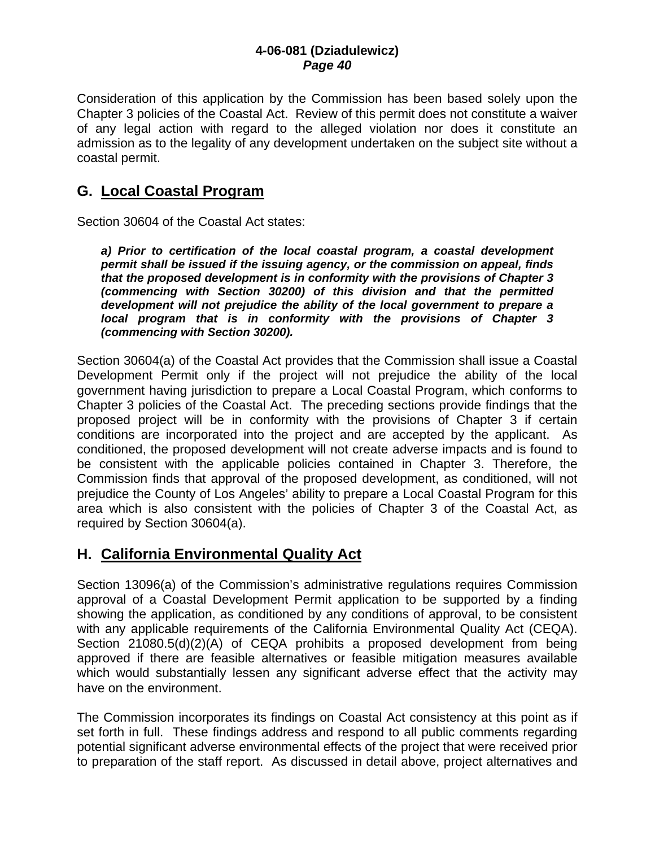Consideration of this application by the Commission has been based solely upon the Chapter 3 policies of the Coastal Act. Review of this permit does not constitute a waiver of any legal action with regard to the alleged violation nor does it constitute an admission as to the legality of any development undertaken on the subject site without a coastal permit.

# **G. Local Coastal Program**

Section 30604 of the Coastal Act states:

*a) Prior to certification of the local coastal program, a coastal development permit shall be issued if the issuing agency, or the commission on appeal, finds that the proposed development is in conformity with the provisions of Chapter 3 (commencing with Section 30200) of this division and that the permitted development will not prejudice the ability of the local government to prepare a local program that is in conformity with the provisions of Chapter 3 (commencing with Section 30200).* 

Section 30604(a) of the Coastal Act provides that the Commission shall issue a Coastal Development Permit only if the project will not prejudice the ability of the local government having jurisdiction to prepare a Local Coastal Program, which conforms to Chapter 3 policies of the Coastal Act. The preceding sections provide findings that the proposed project will be in conformity with the provisions of Chapter 3 if certain conditions are incorporated into the project and are accepted by the applicant. As conditioned, the proposed development will not create adverse impacts and is found to be consistent with the applicable policies contained in Chapter 3. Therefore, the Commission finds that approval of the proposed development, as conditioned, will not prejudice the County of Los Angeles' ability to prepare a Local Coastal Program for this area which is also consistent with the policies of Chapter 3 of the Coastal Act, as required by Section 30604(a).

# **H. California Environmental Quality Act**

Section 13096(a) of the Commission's administrative regulations requires Commission approval of a Coastal Development Permit application to be supported by a finding showing the application, as conditioned by any conditions of approval, to be consistent with any applicable requirements of the California Environmental Quality Act (CEQA). Section 21080.5(d)(2)(A) of CEQA prohibits a proposed development from being approved if there are feasible alternatives or feasible mitigation measures available which would substantially lessen any significant adverse effect that the activity may have on the environment.

The Commission incorporates its findings on Coastal Act consistency at this point as if set forth in full. These findings address and respond to all public comments regarding potential significant adverse environmental effects of the project that were received prior to preparation of the staff report. As discussed in detail above, project alternatives and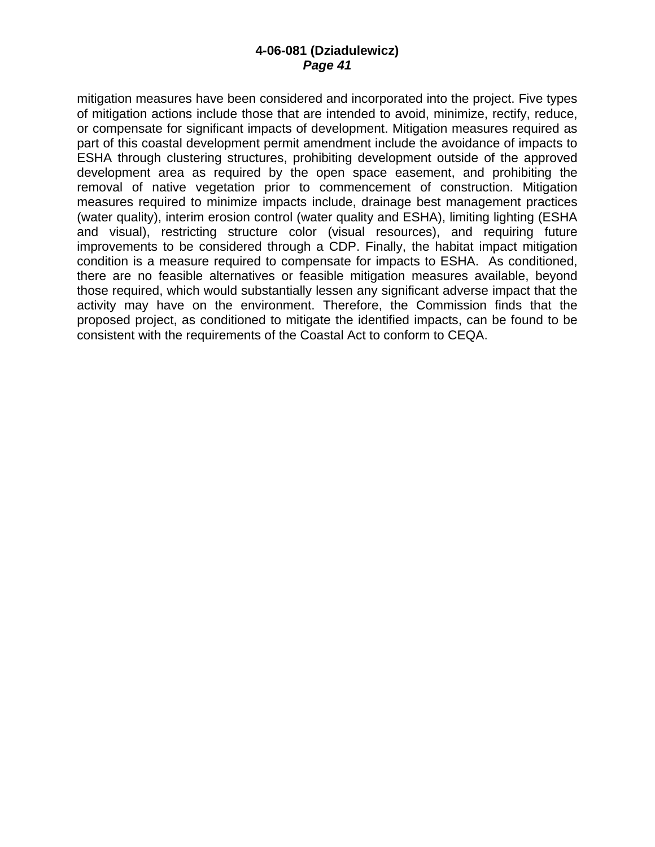mitigation measures have been considered and incorporated into the project. Five types of mitigation actions include those that are intended to avoid, minimize, rectify, reduce, or compensate for significant impacts of development. Mitigation measures required as part of this coastal development permit amendment include the avoidance of impacts to ESHA through clustering structures, prohibiting development outside of the approved development area as required by the open space easement, and prohibiting the removal of native vegetation prior to commencement of construction. Mitigation measures required to minimize impacts include, drainage best management practices (water quality), interim erosion control (water quality and ESHA), limiting lighting (ESHA and visual), restricting structure color (visual resources), and requiring future improvements to be considered through a CDP. Finally, the habitat impact mitigation condition is a measure required to compensate for impacts to ESHA. As conditioned, there are no feasible alternatives or feasible mitigation measures available, beyond those required, which would substantially lessen any significant adverse impact that the activity may have on the environment. Therefore, the Commission finds that the proposed project, as conditioned to mitigate the identified impacts, can be found to be consistent with the requirements of the Coastal Act to conform to CEQA.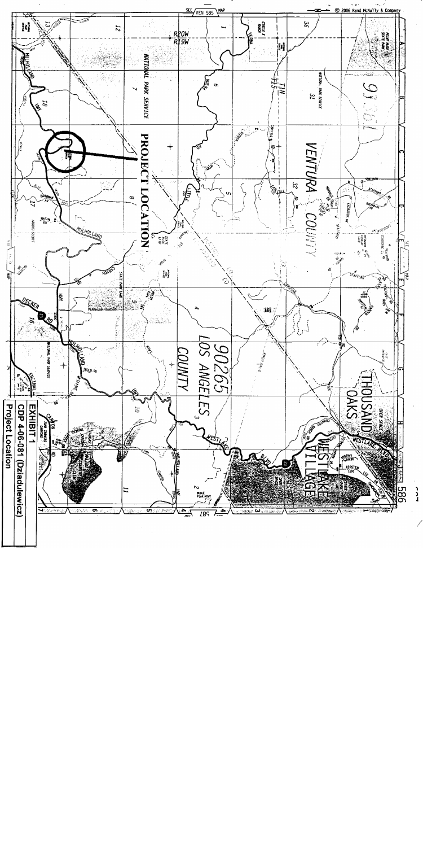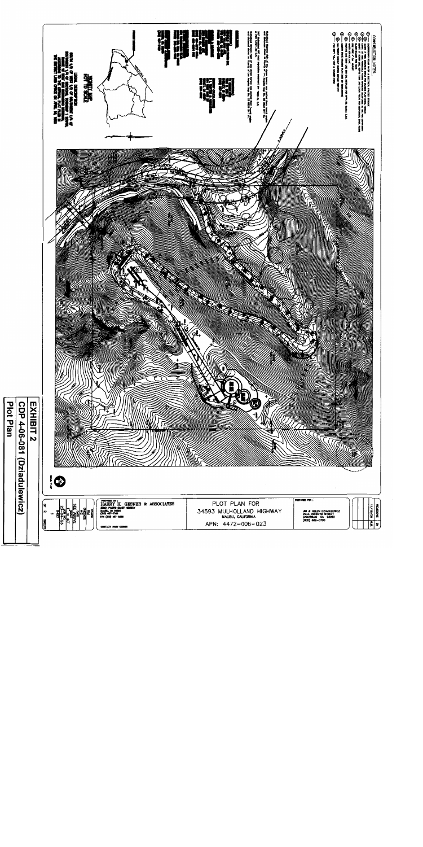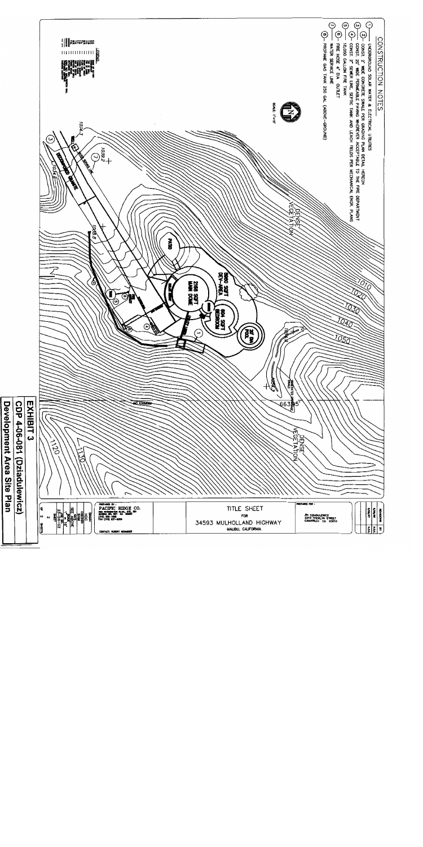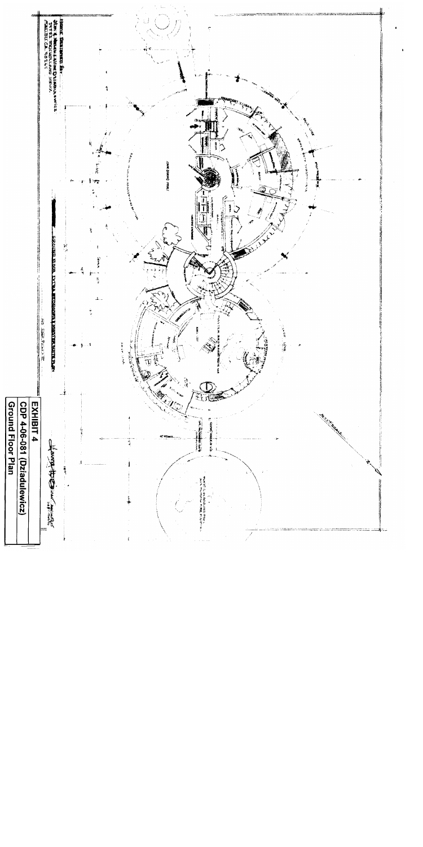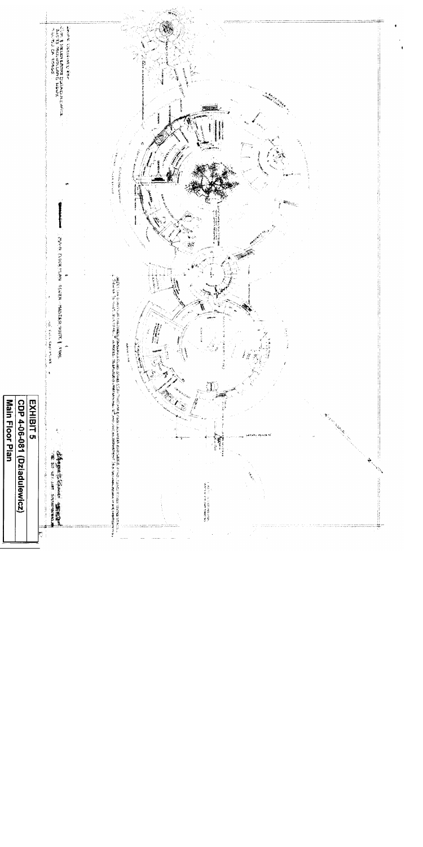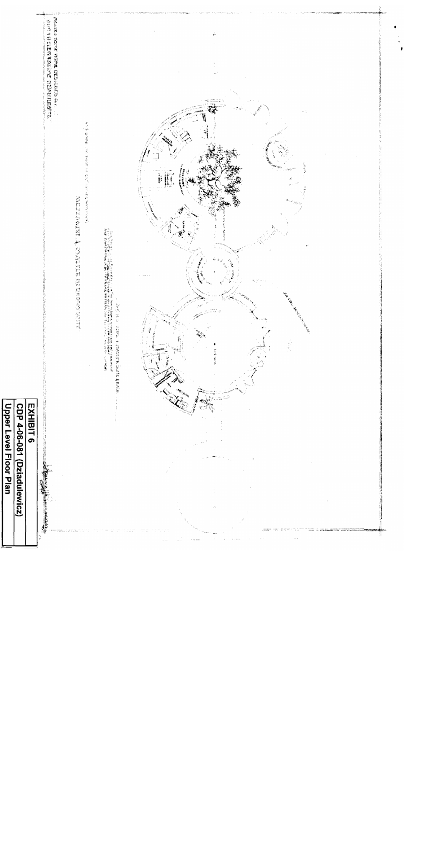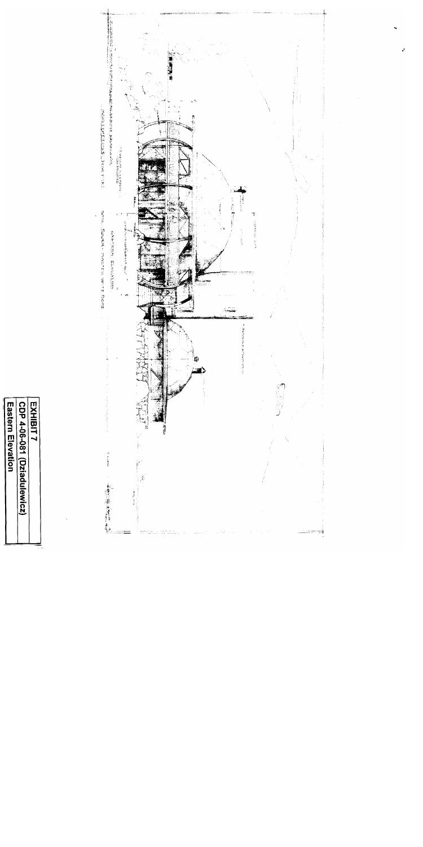

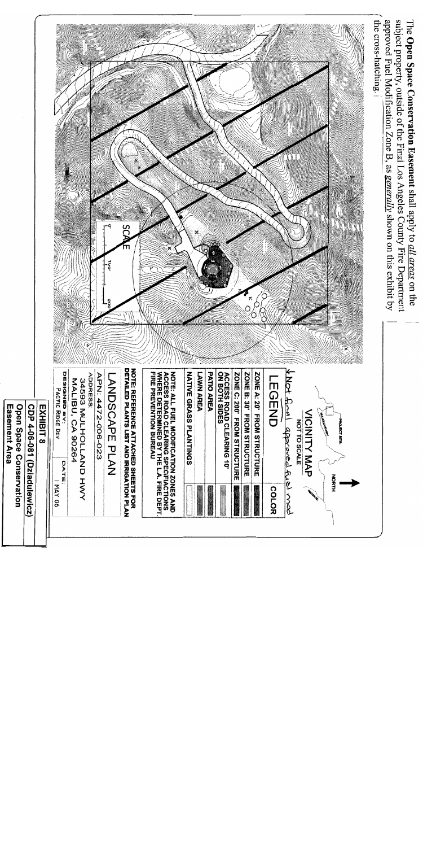subject property, outside of the Final Los Angeles County Fire Department approved Fuel Modification Zone B, as generally shown on this exhibit by The Open Space Conservation Easement shall apply to all areas on the



| Open Space Conservation<br>Easement Area<br>CDP 4-06-081 (Dziadulewicz) | EXHIBIT 8 |
|-------------------------------------------------------------------------|-----------|
|-------------------------------------------------------------------------|-----------|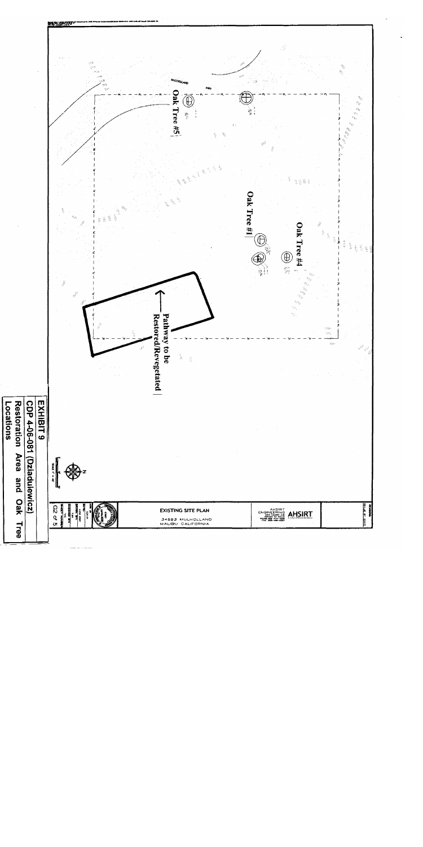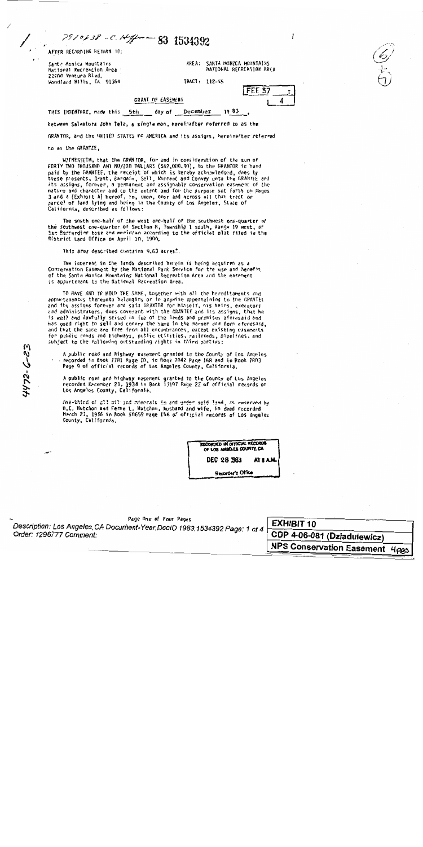AFTER RECORDING RETURN TO:

Sante Monica Mountains National Recreation Area 22900 Ventura Blvd. Woodland Hills, CA 91364 AREA: SANTA MONICA MOUNTAINS NATIONAL RECREATION AREA

TRACT: 112-55

| FEE S7 |   |
|--------|---|
|        | 4 |

 $\mathbf{I}$ 

THIS INDENTURE, made this 5th \_\_ day of December 1983

7910838 - C. Hiffman 83 1534392

between Salvatore John Tela, a single man, hereinafter referred to as the

**GRANT OF EASEMENT** 

GRANTOR, and the UNITED STATES OF AMERICA and its assigns, hereinafter referred

to as the GRANTEE.

4472-6-23

WITNESSETH, that the GRANTOR, for and in consideration of the sum of FORTY TWO THOUSAND AND NO/100 DOLLARS (\$42,000.00), to the GRANTOR in hand paid by the GRANTEE, the receipt of which is hereby acknowledged, does by these presents, Grant, Bargain, Sell, Warrant and Convey unto the GRANTEE and its assigns, forever, a permanent and assignable conservation easement of the nature and character and to the extent and for the purpose set forth on pages 3 and 4 (Exhibit A) hereof, in, upon, over and across all that tract or parcel of land lying and being in the County of Los Angeles. State of California, described as follows:

The south one-half of the west one-half of the southwest one-quarter of the southwest one-quarter of Section 8, Township 1 south, Range 19 west, of<br>San Bernardino base and meridian according to the official plat filed in the District Land Office on April 10, 1900.

This area described contains 9.63 acres!

The interest in the lands described herein is being acquired as a Conservation Easement by the National Park Service for the use and benefit of the Santa Monica Mountains National Recreation Area and the easement is appurtenant to the National Recreation Area.

TO HAVE AND TO HOLD THE SAME, together with all the hereditaments and appurtenances thereunto belonging or in anywise appertaining to the GRANTEE and its assigns forever and said GRANTOR for himself, his heirs, executors and administrators, does covenant with the GRANTEE and its assigns, that he is well and lawfully seised in fee of the lands and premises aforesaid and has good right to sell and convey the same in the manner and form aforesaid. and that the same are free from all encumbrances, except existing easements for public roads and highways, public utilities, railroads, pipelines, and subject to the following outstanding rights in third parties:

A public road and highway easement granted to the County of Los Angeles recorded in Book 7781 Page 10, in Book 7042 Page 168 and in Book 7803 Page 9 of official records of Los Angeles County, California.

A public road and highway easement granted to the County of Los Angeles<br>recorded December 21, 1934 in Book 13197 Page 22 of official records of<br>Los Angeles County, California.

One-third of all off and minorals in and under said land, as reserved by D.C. Hutchon and Ferne L. Hutchon, husband and wife, in deed recorded March 21, 1956 in Rook 50659 Page 156 of official records of Los Angeles County, California.

> RECORDED IN OFFICIAL RECORDS OF LOS ANGELES COURTY, CA DEC 28 1983 AT 8 A.M.

Recorder's Office

Page One of Four Pages Description: Los Angeles, CA Document-Year. DocID 1983.1534392 Page: 1 of 4 Order: 1296777 Comment:

**EXHIBIT 10** CDP 4-06-081 (Dziadulewicz) NPS Conservation Fecom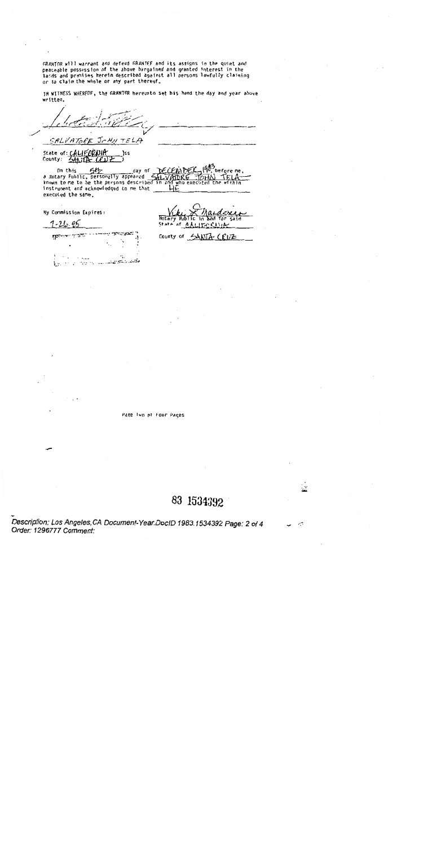GRANTOR will warrant and defend GRANTEF and its assigns in the quiet and peaceable possession of the above bargained and granted interest in the lacds and premises herein described against all persons lawfully claiming or to claim the whole or any part thereof.

IN WITNESS WHEREOF, the GRANTOR hereunto set his hand the day and year above written.

 $J$  $c$   $H$  $J$   $T$  $E$   $L$  $A$ 

State of: CALIFORNIA )s s

on this 5H day of DECEWIDE<br>a Rotary Public, personally appeared 5HLVAIDRE before me тонл who execute Н instrument and acknowledged to me that executed the same.

My Commission Expires:

SALVATORE

 $7 - 21 - 96$ 

**Not a** State of A.L.

**rgent** ï, ٠;. .... ು ಪ್ರಸ್ತಾನಿ, <u>ಸಾಮಾನವಾ</u>ಯ Ły.

County of SANTA CEUZ

Page Iwo of Four Pages

83 1534392

УŹ,

Description: Los Angeles, CA Document-Year. DocID 1983.1534392 Page: 2 of 4 Order: 1296777 Comment: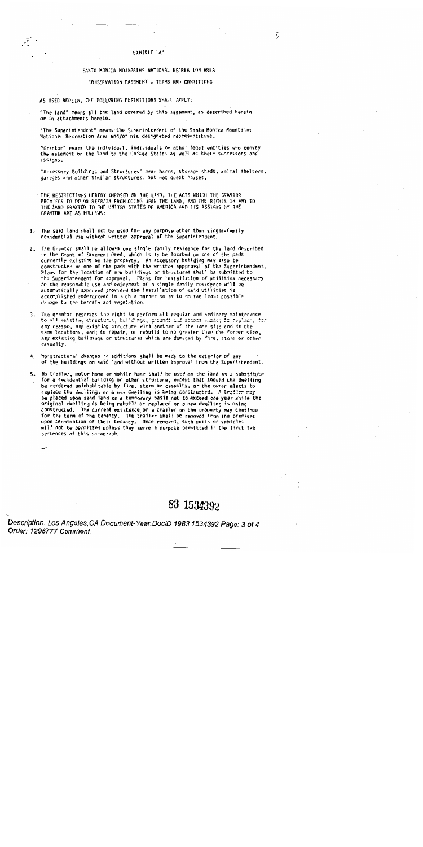#### FIHIRIT "A"

#### SANTA MONICA MOINTAINS NATIONAL RECREATION AREA

#### CONSERVATION EASEMENT - TERMS AND CONDITIONS

#### AS USED HEREIN, THE FOLLOWING DEFINITIONS SHALL APPLY:

 $\bar{\mathcal{E}}$ 

"The land" means all the land covered by this easement, as described herein or in attachments hereto.

"The Superintendent" means the Superintendent of the Santa Monica Mountains National Recreation Area and/or his designated representative.

"Grantor" means the individual, individuals or other legal entities who convey the easement on the land to the United States as well as their successors and assigns.

"Accessory Buildings and Structures" mean barns, storage sheds, animal shelters, garages and other similar structures, but not quest houses.

THE RESTRICTIONS HEREBY IMPOSED ON THE LAND, THE ACTS WHICH THE GRANTOR PROMISES TO DO OR REFRAIN FROM DOING UPON THE LAND, AND THE RIGHTS IN AND TO THE LAND GRANTED TO THE UNITED STATES OF AMERICA AND ITS ASSIGNS BY THE GRANTOR ARE AS FOLLOWS:

- 1. The said land shall not be used for any purpose other than single-family residential use without written approval of the Superintendent.
- 2. The Grantor shall be allowed one single family residence for the land described in the Grant of Easement Deed, which is to be located on one of the pads currently existing on the property. An accessory building may also be constructed on one of the pads with the written appproval of the Superintendent. Plans for the location of new buildings or structures shall be submitted to the Superintendent for approval. Plans for installation of utilities necessary to the reasonable use and enjoyment of a single family residence will be automatically approved provided the installation of said utilities is accomplished underground in such a manner so as to do the least possible damage to the terrain and vegetation.
- 3. The grantor reserves the right to perform all regular and ordinary maintenance to all existing structures, buildings, grounds and access roads; to replace, for any reason, any existing structure with another of the same size and in the same locations, and; to repair, or rebuild to no greater than the former size. any existing buildings or structures which are damaged by fire, storm or other casualty.
- 4. No structural changes or additions shall be made to the exterior of any of the huildings on said land without written approval from the Superintendent.
- 5. No trailer, motor home or mobile home shall be used on the land as a substitute for a residential building or other structure, except that should the dwelling be rendered unimhabitable by fire, storm or casualty, or the owner elects to replace the dwelling, or a new dwelling is being constructed. A trailer may be placed upon said land on a temporary basis not to exceed one year while the original dwelling is being rebuilt or replaced or a new dwelling is being constructed. The current existence of a trailer on the property may continue for the term of the tenancy. The trailer shall be removed from the premises upon termination of their tenancy. Once removed, such units or vehicles will not be permitted unless they serve a purpose permitted in the first two sentences of this paragraph.

# 83 1534392

Description: Los Angeles, CA Document-Year. DoclD 1983.1534392 Page: 3 of 4 Order: 1296777 Comment: